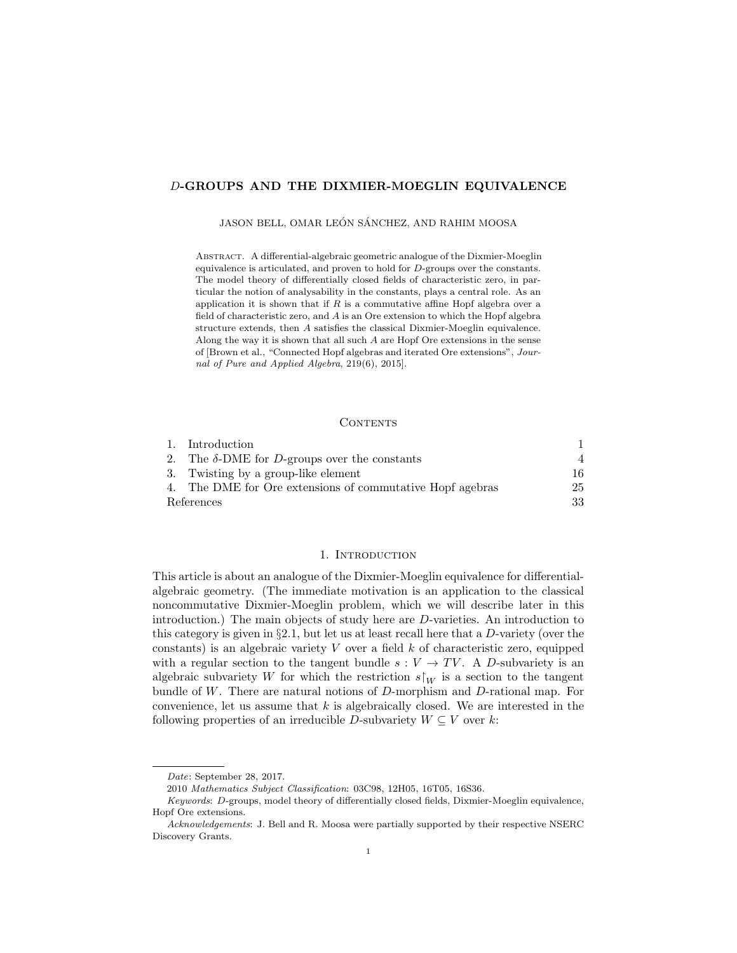# D-GROUPS AND THE DIXMIER-MOEGLIN EQUIVALENCE

JASON BELL, OMAR LEÓN SÁNCHEZ, AND RAHIM MOOSA

Abstract. A differential-algebraic geometric analogue of the Dixmier-Moeglin equivalence is articulated, and proven to hold for D-groups over the constants. The model theory of differentially closed fields of characteristic zero, in particular the notion of analysability in the constants, plays a central role. As an application it is shown that if  $R$  is a commutative affine Hopf algebra over a field of characteristic zero, and A is an Ore extension to which the Hopf algebra structure extends, then A satisfies the classical Dixmier-Moeglin equivalence. Along the way it is shown that all such A are Hopf Ore extensions in the sense of [Brown et al., "Connected Hopf algebras and iterated Ore extensions", Journal of Pure and Applied Algebra, 219(6), 2015].

### **CONTENTS**

|            | 1. Introduction                                           |                |
|------------|-----------------------------------------------------------|----------------|
| 2.         | The $\delta$ -DME for <i>D</i> -groups over the constants | $\overline{4}$ |
|            | 3. Twisting by a group-like element                       | 16             |
|            | 4. The DME for Ore extensions of commutative Hopf agebras | 25             |
| References |                                                           | 33             |

### 1. INTRODUCTION

This article is about an analogue of the Dixmier-Moeglin equivalence for differentialalgebraic geometry. (The immediate motivation is an application to the classical noncommutative Dixmier-Moeglin problem, which we will describe later in this introduction.) The main objects of study here are D-varieties. An introduction to this category is given in §2.1, but let us at least recall here that a D-variety (over the constants) is an algebraic variety  $V$  over a field  $k$  of characteristic zero, equipped with a regular section to the tangent bundle  $s: V \to TV$ . A D-subvariety is an algebraic subvariety W for which the restriction  $s\upharpoonright_W$  is a section to the tangent bundle of W. There are natural notions of D-morphism and D-rational map. For convenience, let us assume that  $k$  is algebraically closed. We are interested in the following properties of an irreducible D-subvariety  $W \subseteq V$  over k:

Date: September 28, 2017.

<sup>2010</sup> Mathematics Subject Classification: 03C98, 12H05, 16T05, 16S36.

Keywords: D-groups, model theory of differentially closed fields, Dixmier-Moeglin equivalence, Hopf Ore extensions.

Acknowledgements: J. Bell and R. Moosa were partially supported by their respective NSERC Discovery Grants.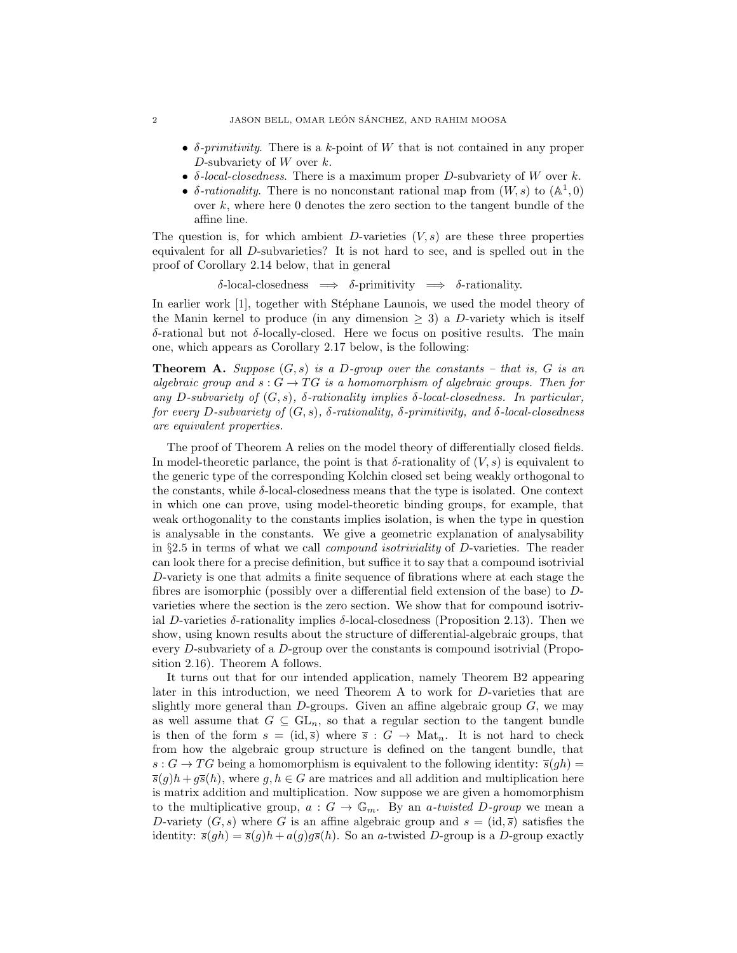- $\delta$ -primitivity. There is a k-point of W that is not contained in any proper D-subvariety of  $W$  over  $k$ .
- $\delta$ -local-closedness. There is a maximum proper D-subvariety of W over k.
- δ-rationality. There is no nonconstant rational map from  $(W, s)$  to  $(A^1, 0)$ over  $k$ , where here 0 denotes the zero section to the tangent bundle of the affine line.

The question is, for which ambient  $D$ -varieties  $(V, s)$  are these three properties equivalent for all D-subvarieties? It is not hard to see, and is spelled out in the proof of Corollary 2.14 below, that in general

δ-local-closedness =⇒ δ-primitivity =⇒ δ-rationality.

In earlier work [1], together with Stéphane Launois, we used the model theory of the Manin kernel to produce (in any dimension  $\geq$  3) a D-variety which is itself δ-rational but not δ-locally-closed. Here we focus on positive results. The main one, which appears as Corollary 2.17 below, is the following:

**Theorem A.** Suppose  $(G, s)$  is a D-group over the constants – that is, G is an algebraic group and  $s: G \to TG$  is a homomorphism of algebraic groups. Then for any D-subvariety of  $(G, s)$ ,  $\delta$ -rationality implies  $\delta$ -local-closedness. In particular, for every D-subvariety of  $(G, s)$ ,  $\delta$ -rationality,  $\delta$ -primitivity, and  $\delta$ -local-closedness are equivalent properties.

The proof of Theorem A relies on the model theory of differentially closed fields. In model-theoretic parlance, the point is that  $\delta$ -rationality of  $(V, s)$  is equivalent to the generic type of the corresponding Kolchin closed set being weakly orthogonal to the constants, while  $\delta$ -local-closedness means that the type is isolated. One context in which one can prove, using model-theoretic binding groups, for example, that weak orthogonality to the constants implies isolation, is when the type in question is analysable in the constants. We give a geometric explanation of analysability in §2.5 in terms of what we call compound isotriviality of D-varieties. The reader can look there for a precise definition, but suffice it to say that a compound isotrivial D-variety is one that admits a finite sequence of fibrations where at each stage the fibres are isomorphic (possibly over a differential field extension of the base) to Dvarieties where the section is the zero section. We show that for compound isotrivial D-varieties  $\delta$ -rationality implies  $\delta$ -local-closedness (Proposition 2.13). Then we show, using known results about the structure of differential-algebraic groups, that every D-subvariety of a D-group over the constants is compound isotrivial (Proposition 2.16). Theorem A follows.

It turns out that for our intended application, namely Theorem B2 appearing later in this introduction, we need Theorem A to work for D-varieties that are slightly more general than  $D$ -groups. Given an affine algebraic group  $G$ , we may as well assume that  $G \subseteq GL_n$ , so that a regular section to the tangent bundle is then of the form  $s = (\text{id}, \overline{s})$  where  $\overline{s}$  :  $G \rightarrow \text{Mat}_n$ . It is not hard to check from how the algebraic group structure is defined on the tangent bundle, that  $s: G \to TG$  being a homomorphism is equivalent to the following identity:  $\overline{s}(gh)$  =  $\overline{s}(g)h + g\overline{s}(h)$ , where g,  $h \in G$  are matrices and all addition and multiplication here is matrix addition and multiplication. Now suppose we are given a homomorphism to the multiplicative group,  $a: G \to \mathbb{G}_m$ . By an a-twisted D-group we mean a D-variety  $(G, s)$  where G is an affine algebraic group and  $s = (id, \overline{s})$  satisfies the identity:  $\bar{s}(gh) = \bar{s}(g)h + a(g)g\bar{s}(h)$ . So an a-twisted D-group is a D-group exactly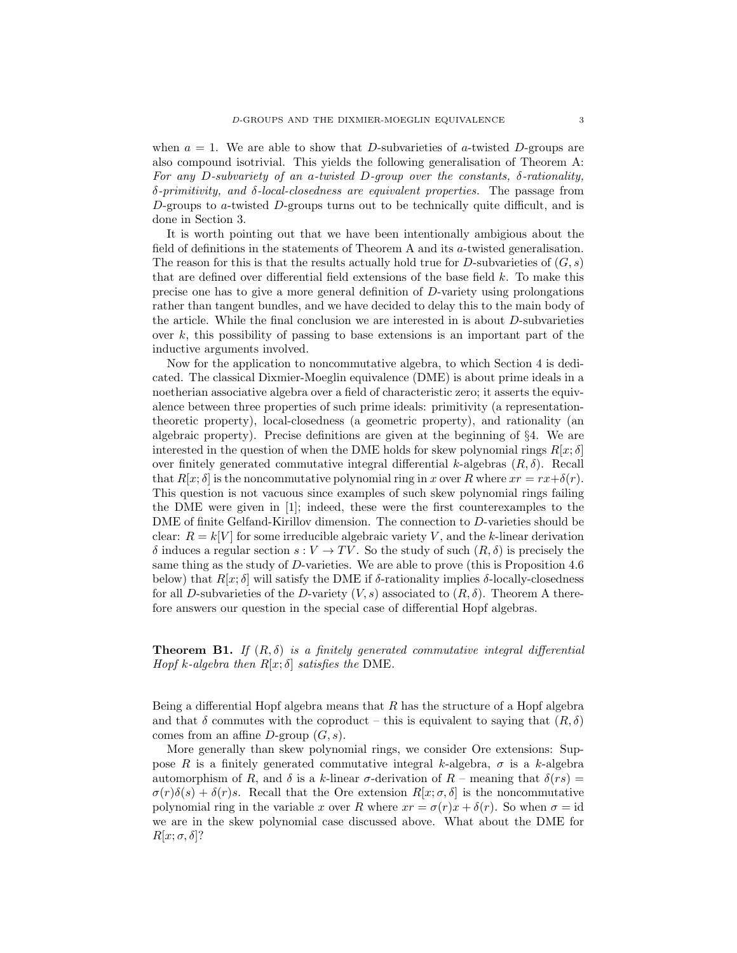when  $a = 1$ . We are able to show that D-subvarieties of a-twisted D-groups are also compound isotrivial. This yields the following generalisation of Theorem A: For any D-subvariety of an a-twisted D-group over the constants,  $\delta$ -rationality,  $\delta$ -primitivity, and  $\delta$ -local-closedness are equivalent properties. The passage from D-groups to a-twisted D-groups turns out to be technically quite difficult, and is done in Section 3.

It is worth pointing out that we have been intentionally ambigious about the field of definitions in the statements of Theorem A and its a-twisted generalisation. The reason for this is that the results actually hold true for D-subvarieties of  $(G, s)$ that are defined over differential field extensions of the base field k. To make this precise one has to give a more general definition of D-variety using prolongations rather than tangent bundles, and we have decided to delay this to the main body of the article. While the final conclusion we are interested in is about D-subvarieties over  $k$ , this possibility of passing to base extensions is an important part of the inductive arguments involved.

Now for the application to noncommutative algebra, to which Section 4 is dedicated. The classical Dixmier-Moeglin equivalence (DME) is about prime ideals in a noetherian associative algebra over a field of characteristic zero; it asserts the equivalence between three properties of such prime ideals: primitivity (a representationtheoretic property), local-closedness (a geometric property), and rationality (an algebraic property). Precise definitions are given at the beginning of §4. We are interested in the question of when the DME holds for skew polynomial rings  $R[x; \delta]$ over finitely generated commutative integral differential k-algebras  $(R, \delta)$ . Recall that  $R[x; \delta]$  is the noncommutative polynomial ring in x over R where  $xr = rx + \delta(r)$ . This question is not vacuous since examples of such skew polynomial rings failing the DME were given in [1]; indeed, these were the first counterexamples to the DME of finite Gelfand-Kirillov dimension. The connection to D-varieties should be clear:  $R = k[V]$  for some irreducible algebraic variety V, and the k-linear derivation  $\delta$  induces a regular section  $s: V \to TV$ . So the study of such  $(R, \delta)$  is precisely the same thing as the study of D-varieties. We are able to prove (this is Proposition 4.6 below) that  $R[x; \delta]$  will satisfy the DME if  $\delta$ -rationality implies  $\delta$ -locally-closedness for all D-subvarieties of the D-variety  $(V, s)$  associated to  $(R, \delta)$ . Theorem A therefore answers our question in the special case of differential Hopf algebras.

**Theorem B1.** If  $(R, \delta)$  is a finitely generated commutative integral differential Hopf k-algebra then  $R[x; \delta]$  satisfies the DME.

Being a differential Hopf algebra means that  $R$  has the structure of a Hopf algebra and that  $\delta$  commutes with the coproduct – this is equivalent to saying that  $(R, \delta)$ comes from an affine  $D$ -group  $(G, s)$ .

More generally than skew polynomial rings, we consider Ore extensions: Suppose R is a finitely generated commutative integral k-algebra,  $\sigma$  is a k-algebra automorphism of R, and  $\delta$  is a k-linear  $\sigma$ -derivation of R – meaning that  $\delta(rs)$  =  $\sigma(r)\delta(s) + \delta(r)s$ . Recall that the Ore extension  $R[x; \sigma, \delta]$  is the noncommutative polynomial ring in the variable x over R where  $xr = \sigma(r)x + \delta(r)$ . So when  $\sigma = id$ we are in the skew polynomial case discussed above. What about the DME for  $R[x; \sigma, \delta]$ ?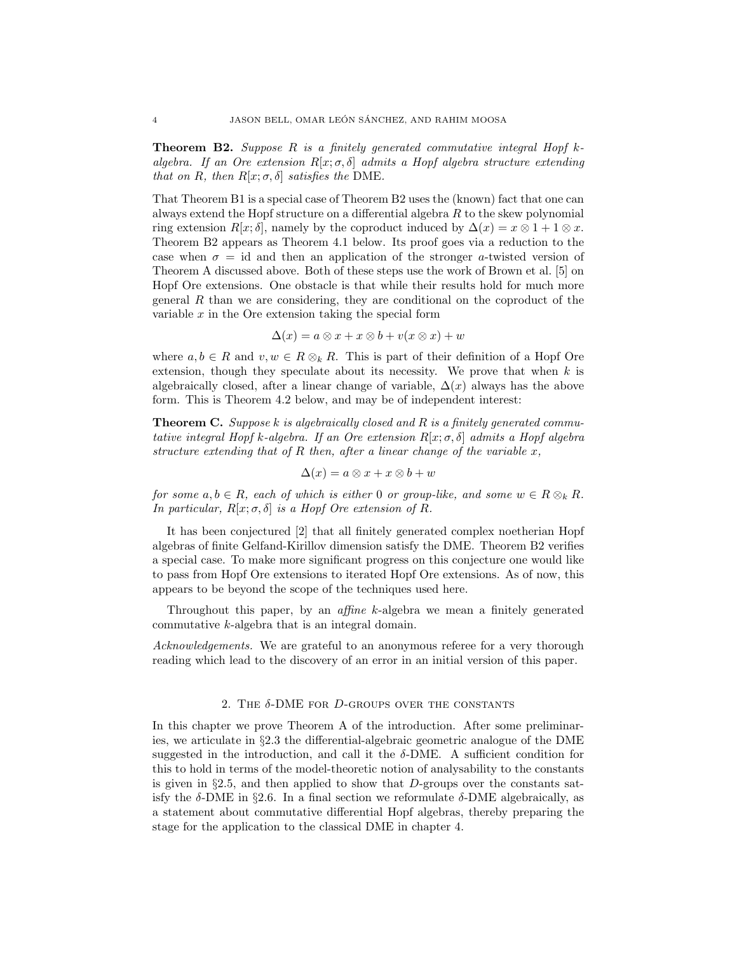**Theorem B2.** Suppose R is a finitely generated commutative integral Hopf  $k$ algebra. If an Ore extension  $R[x; \sigma, \delta]$  admits a Hopf algebra structure extending that on R, then  $R[x; \sigma, \delta]$  satisfies the DME.

That Theorem B1 is a special case of Theorem B2 uses the (known) fact that one can always extend the Hopf structure on a differential algebra R to the skew polynomial ring extension  $R[x; \delta]$ , namely by the coproduct induced by  $\Delta(x) = x \otimes 1 + 1 \otimes x$ . Theorem B2 appears as Theorem 4.1 below. Its proof goes via a reduction to the case when  $\sigma = id$  and then an application of the stronger a-twisted version of Theorem A discussed above. Both of these steps use the work of Brown et al. [5] on Hopf Ore extensions. One obstacle is that while their results hold for much more general  $R$  than we are considering, they are conditional on the coproduct of the variable  $x$  in the Ore extension taking the special form

$$
\Delta(x) = a \otimes x + x \otimes b + v(x \otimes x) + w
$$

where  $a, b \in R$  and  $v, w \in R \otimes_k R$ . This is part of their definition of a Hopf Ore extension, though they speculate about its necessity. We prove that when  $k$  is algebraically closed, after a linear change of variable,  $\Delta(x)$  always has the above form. This is Theorem 4.2 below, and may be of independent interest:

**Theorem C.** Suppose k is algebraically closed and R is a finitely generated commutative integral Hopf k-algebra. If an Ore extension  $R[x; \sigma, \delta]$  admits a Hopf algebra structure extending that of  $R$  then, after a linear change of the variable  $x$ ,

$$
\Delta(x) = a \otimes x + x \otimes b + w
$$

for some  $a, b \in R$ , each of which is either 0 or group-like, and some  $w \in R \otimes_k R$ . In particular,  $R[x; \sigma, \delta]$  is a Hopf Ore extension of R.

It has been conjectured [2] that all finitely generated complex noetherian Hopf algebras of finite Gelfand-Kirillov dimension satisfy the DME. Theorem B2 verifies a special case. To make more significant progress on this conjecture one would like to pass from Hopf Ore extensions to iterated Hopf Ore extensions. As of now, this appears to be beyond the scope of the techniques used here.

Throughout this paper, by an affine k-algebra we mean a finitely generated commutative k-algebra that is an integral domain.

Acknowledgements. We are grateful to an anonymous referee for a very thorough reading which lead to the discovery of an error in an initial version of this paper.

#### 2. THE  $\delta$ -DME FOR D-GROUPS OVER THE CONSTANTS

In this chapter we prove Theorem A of the introduction. After some preliminaries, we articulate in §2.3 the differential-algebraic geometric analogue of the DME suggested in the introduction, and call it the  $\delta$ -DME. A sufficient condition for this to hold in terms of the model-theoretic notion of analysability to the constants is given in §2.5, and then applied to show that  $D$ -groups over the constants satisfy the  $\delta$ -DME in §2.6. In a final section we reformulate  $\delta$ -DME algebraically, as a statement about commutative differential Hopf algebras, thereby preparing the stage for the application to the classical DME in chapter 4.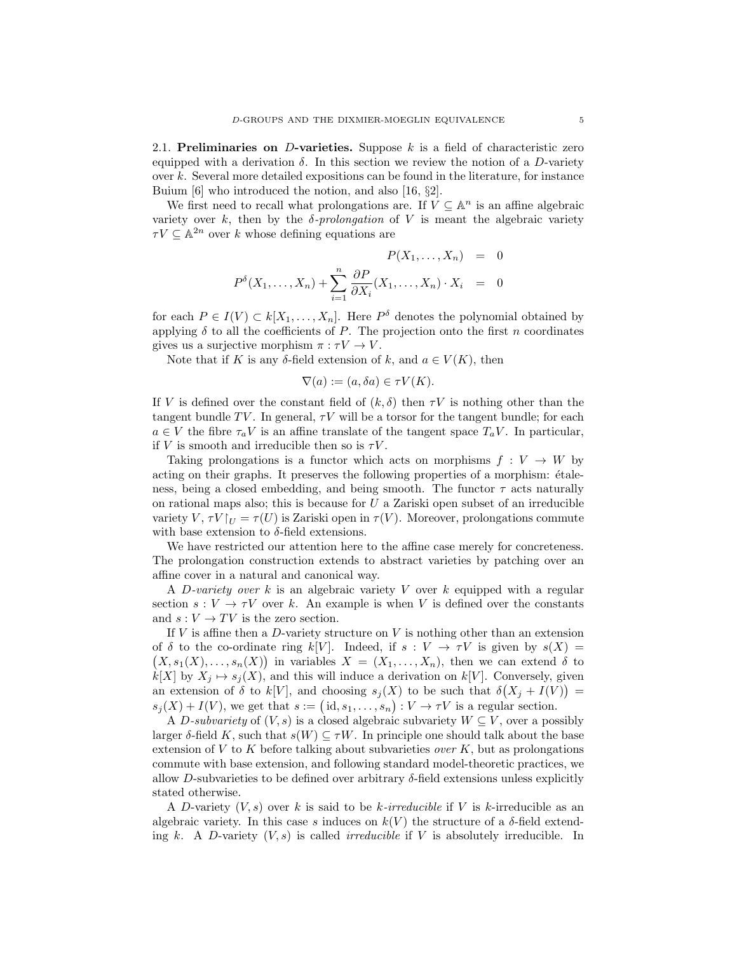2.1. Preliminaries on D-varieties. Suppose  $k$  is a field of characteristic zero equipped with a derivation  $\delta$ . In this section we review the notion of a D-variety over  $k$ . Several more detailed expositions can be found in the literature, for instance Buium [6] who introduced the notion, and also [16, §2].

We first need to recall what prolongations are. If  $V \subseteq \mathbb{A}^n$  is an affine algebraic variety over k, then by the  $\delta$ -prolongation of V is meant the algebraic variety  $\tau V \subseteq \mathbb{A}^{2n}$  over k whose defining equations are

$$
P(X_1, \ldots, X_n) = 0
$$
  

$$
P^{\delta}(X_1, \ldots, X_n) + \sum_{i=1}^n \frac{\partial P}{\partial X_i}(X_1, \ldots, X_n) \cdot X_i = 0
$$

for each  $P \in I(V) \subset k[X_1, \ldots, X_n]$ . Here  $P^{\delta}$  denotes the polynomial obtained by applying  $\delta$  to all the coefficients of P. The projection onto the first n coordinates gives us a surjective morphism  $\pi : \tau V \to V$ .

Note that if K is any  $\delta$ -field extension of k, and  $a \in V(K)$ , then

$$
\nabla(a) := (a, \delta a) \in \tau V(K).
$$

If V is defined over the constant field of  $(k, \delta)$  then  $\tau V$  is nothing other than the tangent bundle TV. In general,  $\tau V$  will be a torsor for the tangent bundle; for each  $a \in V$  the fibre  $\tau_a V$  is an affine translate of the tangent space  $T_a V$ . In particular, if V is smooth and irreducible then so is  $\tau V$ .

Taking prolongations is a functor which acts on morphisms  $f: V \to W$  by acting on their graphs. It preserves the following properties of a morphism:  $étele$ ness, being a closed embedding, and being smooth. The functor  $\tau$  acts naturally on rational maps also; this is because for  $U$  a Zariski open subset of an irreducible variety V,  $\tau V|_{U} = \tau(U)$  is Zariski open in  $\tau(V)$ . Moreover, prolongations commute with base extension to  $\delta$ -field extensions.

We have restricted our attention here to the affine case merely for concreteness. The prolongation construction extends to abstract varieties by patching over an affine cover in a natural and canonical way.

A D-variety over  $k$  is an algebraic variety  $V$  over  $k$  equipped with a regular section  $s: V \to \tau V$  over k. An example is when V is defined over the constants and  $s: V \to TV$  is the zero section.

If  $V$  is affine then a  $D$ -variety structure on  $V$  is nothing other than an extension of  $\delta$  to the co-ordinate ring k[V]. Indeed, if  $s: V \to \tau V$  is given by  $s(X) =$  $(X, s_1(X), \ldots, s_n(X))$  in variables  $X = (X_1, \ldots, X_n)$ , then we can extend  $\delta$  to  $k[X]$  by  $X_j \mapsto s_j(X)$ , and this will induce a derivation on  $k[V]$ . Conversely, given an extension of  $\delta$  to  $k[V]$ , and choosing  $s_j(X)$  to be such that  $\delta(X_j + I(V)) =$  $s_j(X) + I(V)$ , we get that  $s := (\text{id}, s_1, \ldots, s_n) : V \to \tau V$  is a regular section.

A D-subvariety of  $(V, s)$  is a closed algebraic subvariety  $W \subseteq V$ , over a possibly larger  $\delta$ -field K, such that  $s(W) \subseteq \tau W$ . In principle one should talk about the base extension of V to K before talking about subvarieties *over* K, but as prolongations commute with base extension, and following standard model-theoretic practices, we allow D-subvarieties to be defined over arbitrary  $\delta$ -field extensions unless explicitly stated otherwise.

A D-variety  $(V, s)$  over k is said to be k-irreducible if V is k-irreducible as an algebraic variety. In this case s induces on  $k(V)$  the structure of a  $\delta$ -field extending k. A D-variety  $(V, s)$  is called *irreducible* if V is absolutely irreducible. In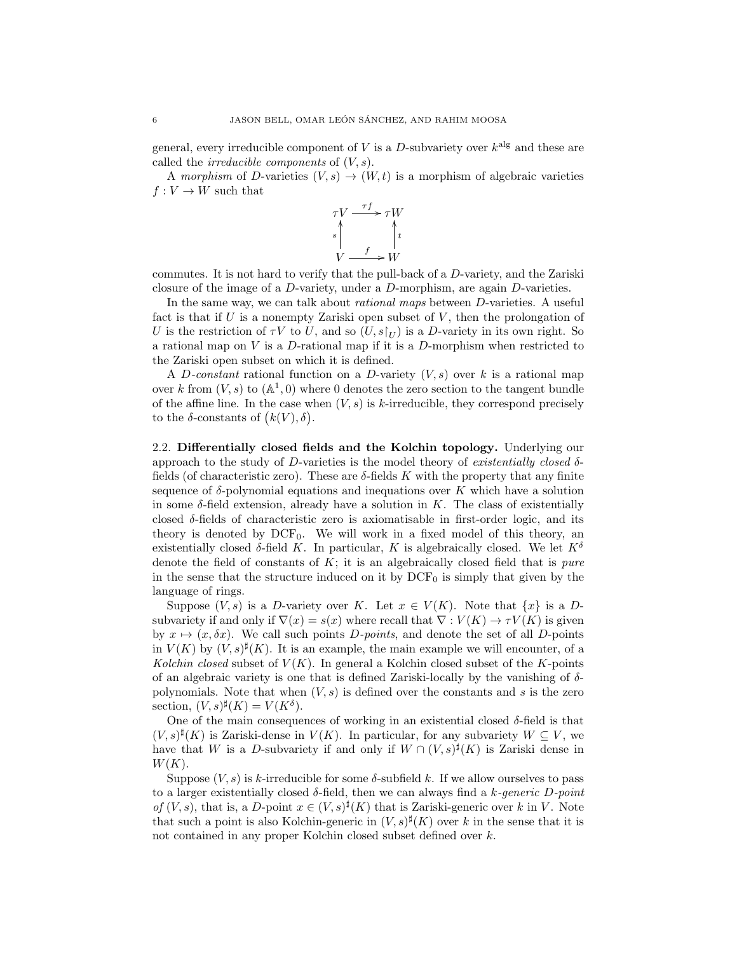general, every irreducible component of V is a D-subvariety over  $k^{\text{alg}}$  and these are called the *irreducible components* of  $(V, s)$ .

A morphism of D-varieties  $(V, s) \rightarrow (W, t)$  is a morphism of algebraic varieties  $f: V \to W$  such that



commutes. It is not hard to verify that the pull-back of a D-variety, and the Zariski closure of the image of a D-variety, under a D-morphism, are again D-varieties.

In the same way, we can talk about *rational maps* between *D*-varieties. A useful fact is that if  $U$  is a nonempty Zariski open subset of  $V$ , then the prolongation of U is the restriction of  $\tau V$  to U, and so  $(U, s|_U)$  is a D-variety in its own right. So a rational map on  $V$  is a  $D$ -rational map if it is a  $D$ -morphism when restricted to the Zariski open subset on which it is defined.

A D-constant rational function on a D-variety  $(V, s)$  over k is a rational map over k from  $(V, s)$  to  $(\mathbb{A}^1, 0)$  where 0 denotes the zero section to the tangent bundle of the affine line. In the case when  $(V, s)$  is k-irreducible, they correspond precisely to the  $\delta$ -constants of  $(k(V), \delta)$ .

2.2. Differentially closed fields and the Kolchin topology. Underlying our approach to the study of D-varieties is the model theory of existentially closed  $\delta$ fields (of characteristic zero). These are  $\delta$ -fields K with the property that any finite sequence of  $\delta$ -polynomial equations and inequations over K which have a solution in some  $\delta$ -field extension, already have a solution in K. The class of existentially closed  $\delta$ -fields of characteristic zero is axiomatisable in first-order logic, and its theory is denoted by  $DCF_0$ . We will work in a fixed model of this theory, an existentially closed  $\delta$ -field K. In particular, K is algebraically closed. We let  $K^{\delta}$ denote the field of constants of  $K$ ; it is an algebraically closed field that is *pure* in the sense that the structure induced on it by  $DCF_0$  is simply that given by the language of rings.

Suppose  $(V, s)$  is a D-variety over K. Let  $x \in V(K)$ . Note that  $\{x\}$  is a Dsubvariety if and only if  $\nabla(x) = s(x)$  where recall that  $\nabla: V(K) \to \tau V(K)$  is given by  $x \mapsto (x, \delta x)$ . We call such points D-points, and denote the set of all D-points in  $V(K)$  by  $(V, s)^{\sharp}(K)$ . It is an example, the main example we will encounter, of a Kolchin closed subset of  $V(K)$ . In general a Kolchin closed subset of the K-points of an algebraic variety is one that is defined Zariski-locally by the vanishing of  $\delta$ polynomials. Note that when  $(V, s)$  is defined over the constants and s is the zero section,  $(V, s)^{\sharp}(K) = V(K^{\delta}).$ 

One of the main consequences of working in an existential closed  $\delta$ -field is that  $(V, s)^\sharp(K)$  is Zariski-dense in  $V(K)$ . In particular, for any subvariety  $W \subseteq V$ , we have that W is a D-subvariety if and only if  $W \cap (V, s)^\sharp(K)$  is Zariski dense in  $W(K).$ 

Suppose  $(V, s)$  is k-irreducible for some  $\delta$ -subfield k. If we allow ourselves to pass to a larger existentially closed  $\delta$ -field, then we can always find a k-generic D-point of  $(V, s)$ , that is, a D-point  $x \in (V, s)^\sharp(K)$  that is Zariski-generic over k in V. Note that such a point is also Kolchin-generic in  $(V, s)^{\sharp}(K)$  over k in the sense that it is not contained in any proper Kolchin closed subset defined over k.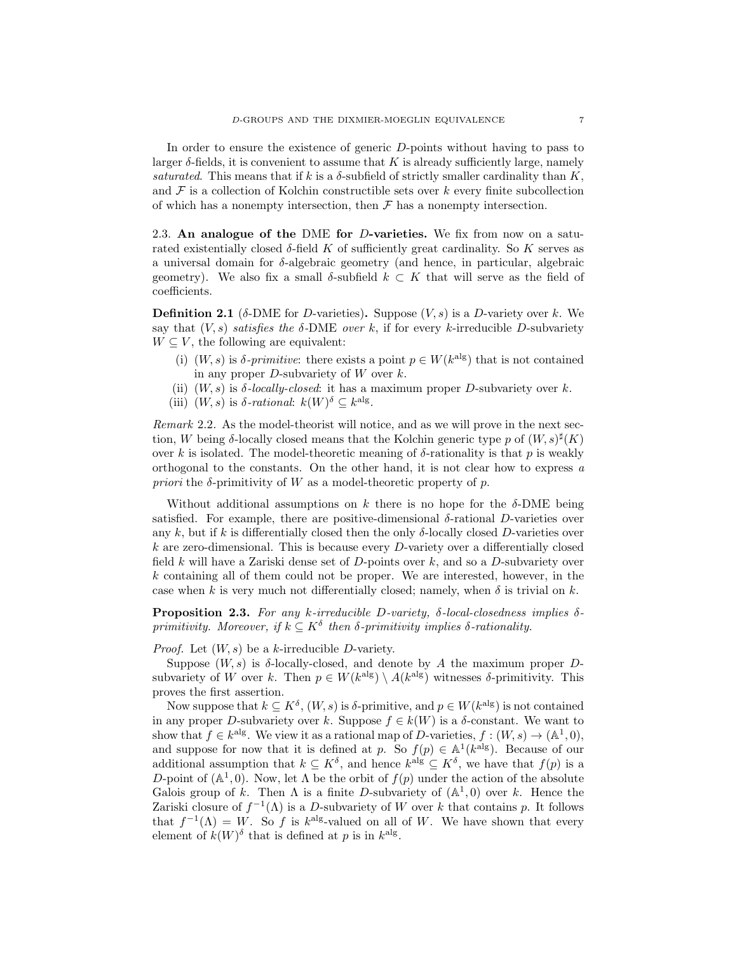In order to ensure the existence of generic D-points without having to pass to larger  $\delta$ -fields, it is convenient to assume that K is already sufficiently large, namely saturated. This means that if k is a  $\delta$ -subfield of strictly smaller cardinality than K, and  $\mathcal F$  is a collection of Kolchin constructible sets over k every finite subcollection of which has a nonempty intersection, then  $\mathcal F$  has a nonempty intersection.

2.3. An analogue of the DME for D-varieties. We fix from now on a saturated existentially closed  $\delta$ -field K of sufficiently great cardinality. So K serves as a universal domain for  $\delta$ -algebraic geometry (and hence, in particular, algebraic geometry). We also fix a small δ-subfield  $k \subset K$  that will serve as the field of coefficients.

**Definition 2.1** ( $\delta$ -DME for D-varieties). Suppose  $(V, s)$  is a D-variety over k. We say that  $(V, s)$  satisfies the  $\delta$ -DME over k, if for every k-irreducible D-subvariety  $W \subseteq V$ , the following are equivalent:

- (i)  $(W, s)$  is  $\delta$ -primitive: there exists a point  $p \in W(k^{\text{alg}})$  that is not contained in any proper  $D$ -subvariety of  $W$  over  $k$ .
- (ii)  $(W, s)$  is  $\delta$ -locally-closed: it has a maximum proper D-subvariety over k.
- (iii)  $(W, s)$  is  $\delta$ -rational:  $k(W)^{\delta} \subseteq k^{\text{alg}}$ .

Remark 2.2. As the model-theorist will notice, and as we will prove in the next section, W being  $\delta$ -locally closed means that the Kolchin generic type p of  $(W, s)^\sharp(K)$ over k is isolated. The model-theoretic meaning of δ-rationality is that p is weakly orthogonal to the constants. On the other hand, it is not clear how to express  $a$ *priori* the  $\delta$ -primitivity of W as a model-theoretic property of p.

Without additional assumptions on k there is no hope for the  $\delta$ -DME being satisfied. For example, there are positive-dimensional  $\delta$ -rational D-varieties over any k, but if k is differentially closed then the only  $\delta$ -locally closed D-varieties over  $k$  are zero-dimensional. This is because every  $D$ -variety over a differentially closed field k will have a Zariski dense set of  $D$ -points over k, and so a  $D$ -subvariety over k containing all of them could not be proper. We are interested, however, in the case when k is very much not differentially closed; namely, when  $\delta$  is trivial on k.

**Proposition 2.3.** For any k-irreducible D-variety,  $\delta$ -local-closedness implies  $\delta$ primitivity. Moreover, if  $k \subseteq K^{\delta}$  then  $\delta$ -primitivity implies  $\delta$ -rationality.

*Proof.* Let  $(W, s)$  be a k-irreducible *D*-variety.

Suppose  $(W, s)$  is  $\delta$ -locally-closed, and denote by A the maximum proper Dsubvariety of W over k. Then  $p \in W(k^{\text{alg}}) \setminus A(k^{\text{alg}})$  witnesses  $\delta$ -primitivity. This proves the first assertion.

Now suppose that  $k \subseteq K^{\delta}$ ,  $(W, s)$  is  $\delta$ -primitive, and  $p \in W(k^{\text{alg}})$  is not contained in any proper D-subvariety over k. Suppose  $f \in k(W)$  is a  $\delta$ -constant. We want to show that  $f \in k^{\text{alg}}$ . We view it as a rational map of D-varieties,  $f : (W, s) \to (\mathbb{A}^1, 0)$ , and suppose for now that it is defined at p. So  $f(p) \in A^1(k^{\text{alg}})$ . Because of our additional assumption that  $k \subseteq K^{\delta}$ , and hence  $k^{\text{alg}} \subseteq K^{\delta}$ , we have that  $f(p)$  is a D-point of  $(A^1, 0)$ . Now, let  $\Lambda$  be the orbit of  $f(p)$  under the action of the absolute Galois group of k. Then  $\Lambda$  is a finite D-subvariety of  $(\mathbb{A}^1,0)$  over k. Hence the Zariski closure of  $f^{-1}(\Lambda)$  is a D-subvariety of W over k that contains p. It follows that  $f^{-1}(\Lambda) = W$ . So f is k<sup>alg</sup>-valued on all of W. We have shown that every element of  $k(W)^{\delta}$  that is defined at p is in  $k^{\text{alg}}$ .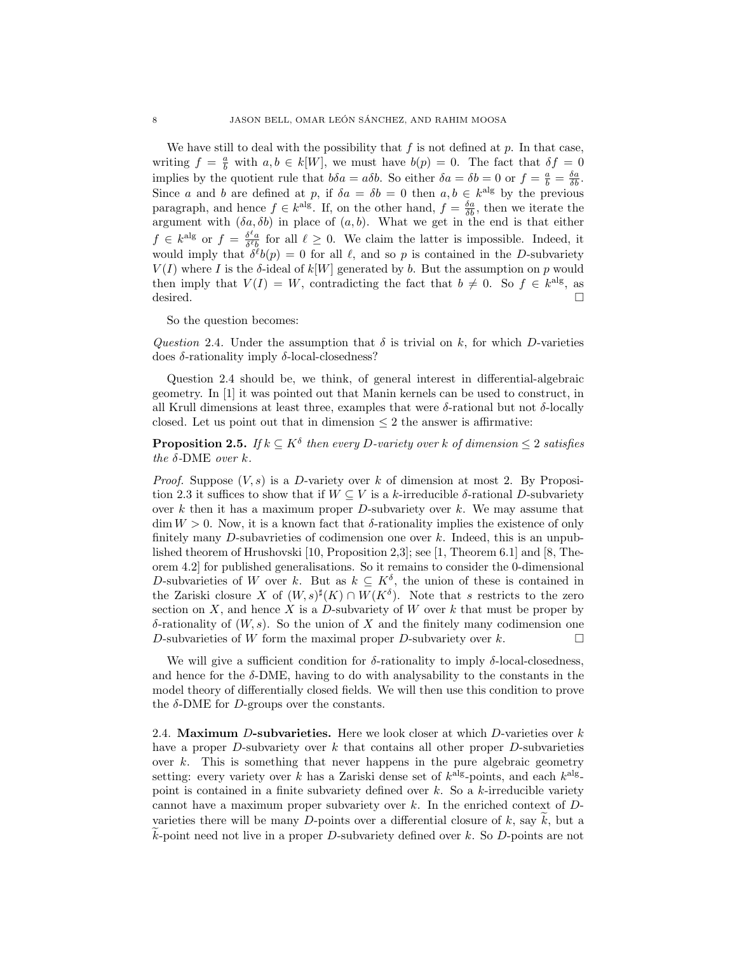We have still to deal with the possibility that  $f$  is not defined at  $p$ . In that case, writing  $f = \frac{a}{b}$  with  $a, b \in k[W]$ , we must have  $b(p) = 0$ . The fact that  $\delta f = 0$ implies by the quotient rule that  $b\delta a = a\delta b$ . So either  $\delta a = \delta b = 0$  or  $f = \frac{a}{b} = \frac{\delta a}{\delta b}$ . Since a and b are defined at p, if  $\delta a = \delta b = 0$  then  $a, b \in k^{\text{alg}}$  by the previous paragraph, and hence  $f \in k^{\text{alg}}$ . If, on the other hand,  $f = \frac{\delta a}{\delta b}$ , then we iterate the argument with  $(\delta a, \delta b)$  in place of  $(a, b)$ . What we get in the end is that either  $f \in k^{\text{alg}}$  or  $f = \frac{\delta^{\ell} a}{\delta^{\ell} b}$  for all  $\ell \geq 0$ . We claim the latter is impossible. Indeed, it would imply that  $\delta^{\ell}b(p) = 0$  for all  $\ell$ , and so p is contained in the D-subvariety  $V(I)$  where I is the  $\delta$ -ideal of  $k[W]$  generated by b. But the assumption on p would then imply that  $V(I) = W$ , contradicting the fact that  $b \neq 0$ . So  $f \in k^{\text{alg}}$ , as desired.  $\Box$ 

So the question becomes:

Question 2.4. Under the assumption that  $\delta$  is trivial on k, for which D-varieties does  $\delta$ -rationality imply  $\delta$ -local-closedness?

Question 2.4 should be, we think, of general interest in differential-algebraic geometry. In [1] it was pointed out that Manin kernels can be used to construct, in all Krull dimensions at least three, examples that were  $\delta$ -rational but not  $\delta$ -locally closed. Let us point out that in dimension  $\leq 2$  the answer is affirmative:

**Proposition 2.5.** If  $k \subseteq K^{\delta}$  then every D-variety over k of dimension  $\leq 2$  satisfies the  $\delta$ -DME over k.

*Proof.* Suppose  $(V, s)$  is a D-variety over k of dimension at most 2. By Proposition 2.3 it suffices to show that if  $W \subseteq V$  is a k-irreducible  $\delta$ -rational D-subvariety over  $k$  then it has a maximum proper  $D$ -subvariety over  $k$ . We may assume that dim  $W > 0$ . Now, it is a known fact that  $\delta$ -rationality implies the existence of only finitely many D-subavrieties of codimension one over  $k$ . Indeed, this is an unpublished theorem of Hrushovski [10, Proposition 2,3]; see [1, Theorem 6.1] and [8, Theorem 4.2] for published generalisations. So it remains to consider the 0-dimensional D-subvarieties of W over k. But as  $k \subseteq K^{\delta}$ , the union of these is contained in the Zariski closure X of  $(W, s)^{\sharp}(K) \cap W(K^{\delta})$ . Note that s restricts to the zero section on  $X$ , and hence  $X$  is a  $D$ -subvariety of  $W$  over  $k$  that must be proper by δ-rationality of (W, s). So the union of X and the finitely many codimension one D-subvarieties of W form the maximal proper D-subvariety over  $k$ .

We will give a sufficient condition for  $\delta$ -rationality to imply  $\delta$ -local-closedness, and hence for the  $\delta$ -DME, having to do with analysability to the constants in the model theory of differentially closed fields. We will then use this condition to prove the  $\delta$ -DME for *D*-groups over the constants.

2.4. Maximum D-subvarieties. Here we look closer at which D-varieties over  $k$ have a proper  $D$ -subvariety over  $k$  that contains all other proper  $D$ -subvarieties over  $k$ . This is something that never happens in the pure algebraic geometry setting: every variety over k has a Zariski dense set of  $k^{\text{alg}}$ -points, and each  $k^{\text{alg}}$ point is contained in a finite subvariety defined over  $k$ . So a  $k$ -irreducible variety cannot have a maximum proper subvariety over k. In the enriched context of Dvarieties there will be many D-points over a differential closure of k, say  $\tilde{k}$ , but a  $k$ -point need not live in a proper D-subvariety defined over  $k$ . So D-points are not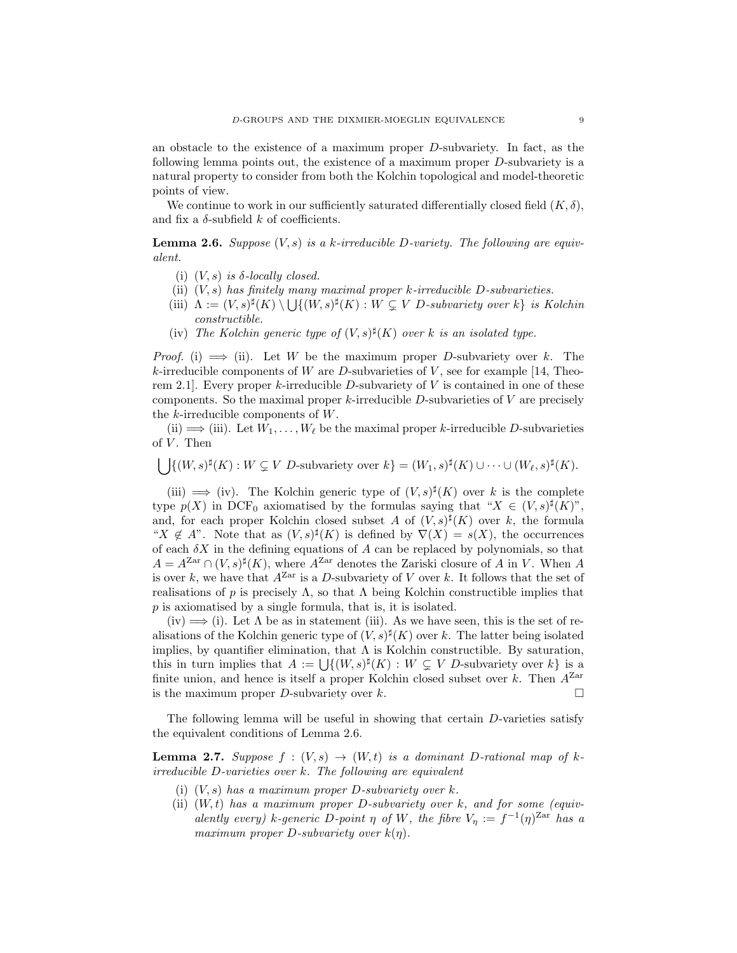an obstacle to the existence of a maximum proper D-subvariety. In fact, as the following lemma points out, the existence of a maximum proper D-subvariety is a natural property to consider from both the Kolchin topological and model-theoretic points of view.

We continue to work in our sufficiently saturated differentially closed field  $(K, \delta)$ , and fix a  $\delta\text{-subfield }k$  of coefficients.

**Lemma 2.6.** Suppose  $(V, s)$  is a k-irreducible D-variety. The following are equivalent.

- (i)  $(V, s)$  is  $\delta$ -locally closed.
- (ii)  $(V, s)$  has finitely many maximal proper k-irreducible D-subvarieties.
- (iii)  $\Lambda := (V, s)^{\sharp}(K) \setminus \bigcup \{(W, s)^{\sharp}(K) : W \subsetneq V \text{ } D \text{-subvariety over } k \}$  is Kolchin constructible.
- (iv) The Kolchin generic type of  $(V, s)^{\sharp}(K)$  over k is an isolated type.

*Proof.* (i)  $\implies$  (ii). Let W be the maximum proper D-subvariety over k. The k-irreducible components of W are D-subvarieties of V, see for example [14, Theorem 2.1. Every proper k-irreducible D-subvariety of  $V$  is contained in one of these components. So the maximal proper k-irreducible D-subvarieties of  $V$  are precisely the k-irreducible components of W.

(ii)  $\implies$  (iii). Let  $W_1, \ldots, W_\ell$  be the maximal proper k-irreducible D-subvarieties of  $V$ . Then

 $\bigcup \{ (W, s)^\sharp(K) : W \subsetneq V \text{ } D\text{-subvariety over } k \} = (W_1, s)^\sharp(K) \cup \cdots \cup (W_\ell, s)^\sharp(K).$ 

(iii)  $\implies$  (iv). The Kolchin generic type of  $(V, s)^{\sharp}(K)$  over k is the complete type  $p(X)$  in DCF<sub>0</sub> axiomatised by the formulas saying that " $X \in (V, s)^\sharp(K)$ ", and, for each proper Kolchin closed subset A of  $(V, s)^\sharp(K)$  over k, the formula " $X \notin A$ ". Note that as  $(V, s)^{\sharp}(K)$  is defined by  $\nabla(X) = s(X)$ , the occurrences of each  $\delta X$  in the defining equations of A can be replaced by polynomials, so that  $A = A^{Zar} \cap (V, s)^{\sharp}(K)$ , where  $A^{Zar}$  denotes the Zariski closure of A in V. When A is over k, we have that  $A^{Zar}$  is a D-subvariety of V over k. It follows that the set of realisations of p is precisely  $\Lambda$ , so that  $\Lambda$  being Kolchin constructible implies that  $p$  is axiomatised by a single formula, that is, it is isolated.

 $(iv) \Longrightarrow (i)$ . Let  $\Lambda$  be as in statement (iii). As we have seen, this is the set of realisations of the Kolchin generic type of  $(V, s)^{\sharp}(K)$  over k. The latter being isolated implies, by quantifier elimination, that  $\Lambda$  is Kolchin constructible. By saturation, this in turn implies that  $A := \bigcup \{(W, s)^{\sharp}(K) : W \subsetneq V$  D-subvariety over  $k\}$  is a finite union, and hence is itself a proper Kolchin closed subset over  $k$ . Then  $A^{Zar}$ is the maximum proper D-subvariety over k.

The following lemma will be useful in showing that certain D-varieties satisfy the equivalent conditions of Lemma 2.6.

**Lemma 2.7.** Suppose  $f : (V, s) \rightarrow (W, t)$  is a dominant D-rational map of kirreducible D-varieties over k. The following are equivalent

- (i)  $(V, s)$  has a maximum proper D-subvariety over k.
- (ii)  $(W, t)$  has a maximum proper D-subvariety over k, and for some (equivalently every) k-generic D-point  $\eta$  of W, the fibre  $V_{\eta} := f^{-1}(\eta)^{\text{Zar}}$  has a maximum proper  $D$ -subvariety over  $k(\eta)$ .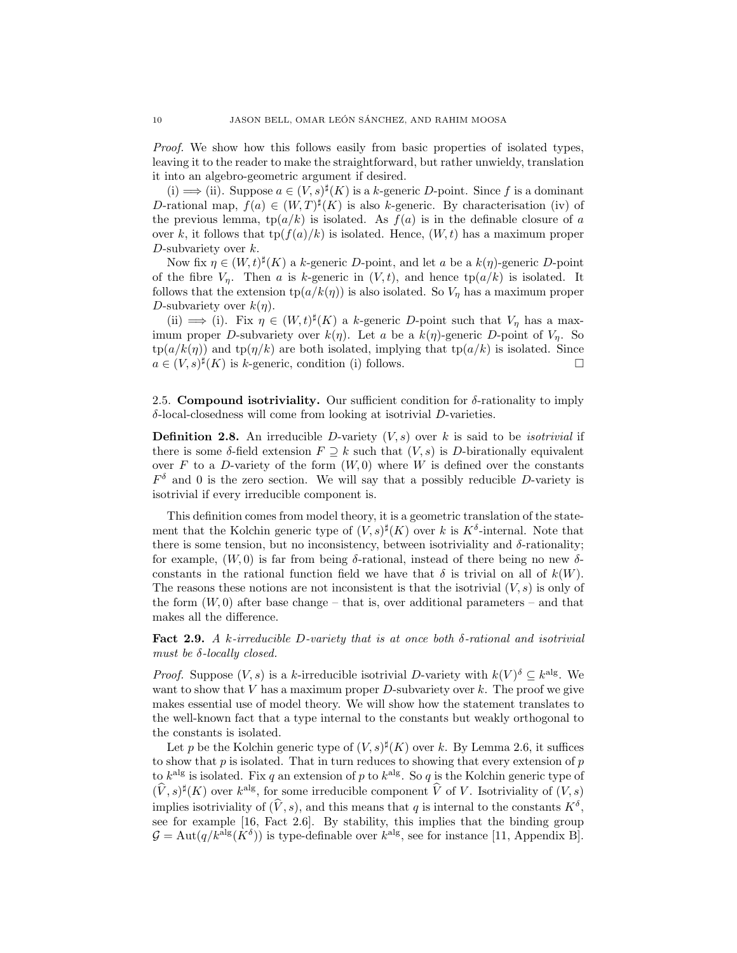Proof. We show how this follows easily from basic properties of isolated types, leaving it to the reader to make the straightforward, but rather unwieldy, translation it into an algebro-geometric argument if desired.

(i)  $\implies$  (ii). Suppose  $a \in (V, s)^{\sharp}(K)$  is a k-generic D-point. Since f is a dominant D-rational map,  $f(a) \in (W,T)^{\sharp}(K)$  is also k-generic. By characterisation (iv) of the previous lemma,  $tp(a/k)$  is isolated. As  $f(a)$  is in the definable closure of a over k, it follows that  $\text{tp}(f(a)/k)$  is isolated. Hence,  $(W, t)$  has a maximum proper D-subvariety over  $k$ .

Now fix  $\eta \in (W, t)^{\sharp}(K)$  a k-generic D-point, and let a be a  $k(\eta)$ -generic D-point of the fibre  $V_n$ . Then a is k-generic in  $(V, t)$ , and hence  $tp(a/k)$  is isolated. It follows that the extension  $tp(a/k(\eta))$  is also isolated. So  $V_n$  has a maximum proper D-subvariety over  $k(\eta)$ .

(ii)  $\implies$  (i). Fix  $\eta \in (W, t)^{\sharp}(K)$  a k-generic D-point such that  $V_{\eta}$  has a maximum proper D-subvariety over  $k(\eta)$ . Let a be a  $k(\eta)$ -generic D-point of  $V_{\eta}$ . So  $\text{tp}(a/k(\eta))$  and  $\text{tp}(\eta/k)$  are both isolated, implying that  $\text{tp}(a/k)$  is isolated. Since  $a \in (V, s)^\sharp(K)$  is k-generic, condition (i) follows.

2.5. Compound isotriviality. Our sufficient condition for  $\delta$ -rationality to imply δ-local-closedness will come from looking at isotrivial D-varieties.

**Definition 2.8.** An irreducible D-variety  $(V, s)$  over k is said to be *isotrivial* if there is some  $\delta$ -field extension  $F \supseteq k$  such that  $(V, s)$  is D-birationally equivalent over  $F$  to a  $D$ -variety of the form  $(W, 0)$  where  $W$  is defined over the constants  $F^{\delta}$  and 0 is the zero section. We will say that a possibly reducible D-variety is isotrivial if every irreducible component is.

This definition comes from model theory, it is a geometric translation of the statement that the Kolchin generic type of  $(V, s)^{\sharp}(K)$  over k is  $K^{\delta}$ -internal. Note that there is some tension, but no inconsistency, between isotriviality and  $\delta$ -rationality; for example,  $(W, 0)$  is far from being  $\delta$ -rational, instead of there being no new  $\delta$ constants in the rational function field we have that  $\delta$  is trivial on all of  $k(W)$ . The reasons these notions are not inconsistent is that the isotrivial  $(V, s)$  is only of the form  $(W, 0)$  after base change – that is, over additional parameters – and that makes all the difference.

**Fact 2.9.** A k-irreducible D-variety that is at once both  $\delta$ -rational and isotrivial must be  $\delta$ -locally closed.

*Proof.* Suppose  $(V, s)$  is a k-irreducible isotrivial D-variety with  $k(V)^{\delta} \subseteq k^{\text{alg}}$ . We want to show that  $V$  has a maximum proper  $D$ -subvariety over  $k$ . The proof we give makes essential use of model theory. We will show how the statement translates to the well-known fact that a type internal to the constants but weakly orthogonal to the constants is isolated.

Let p be the Kolchin generic type of  $(V, s)^{\sharp}(K)$  over k. By Lemma 2.6, it suffices to show that  $p$  is isolated. That in turn reduces to showing that every extension of  $p$ to  $k^{\text{alg}}$  is isolated. Fix q an extension of p to  $k^{\text{alg}}$ . So q is the Kolchin generic type of  $(\hat{V}, s)^{\sharp}(K)$  over  $k^{\text{alg}}$ , for some irreducible component  $\hat{V}$  of V. Isotriviality of  $(V, s)$ implies isotriviality of  $(\hat{V}, s)$ , and this means that q is internal to the constants  $K^{\delta}$ , see for example [16, Fact 2.6]. By stability, this implies that the binding group  $\mathcal{G} = \text{Aut}(q/k^{\text{alg}}(K^{\delta}))$  is type-definable over  $k^{\text{alg}}$ , see for instance [11, Appendix B].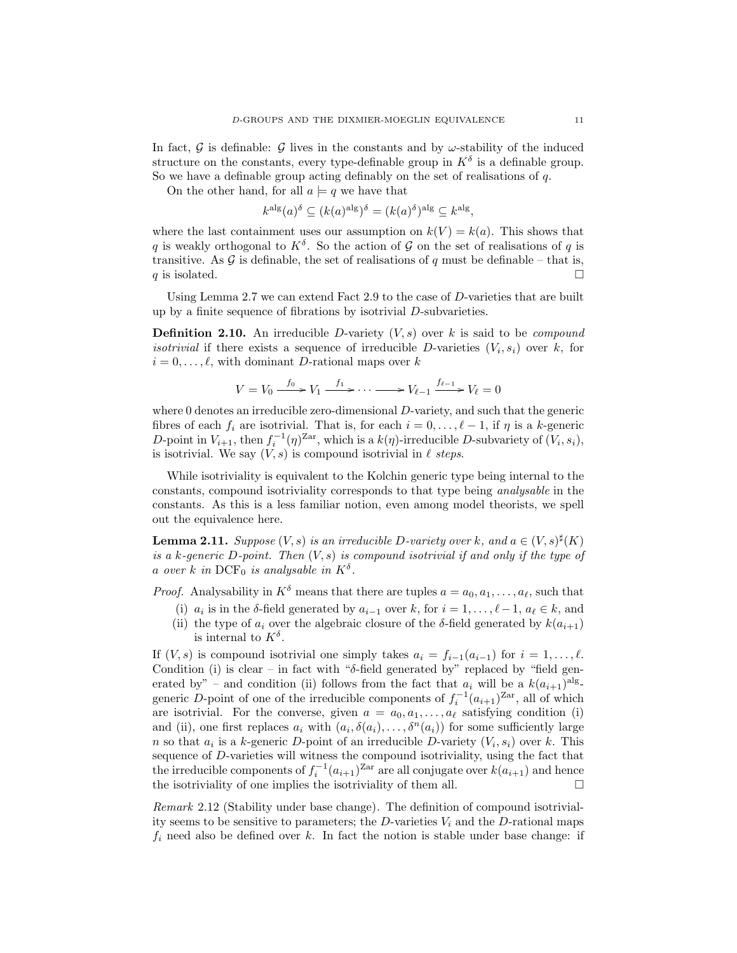In fact, G is definable: G lives in the constants and by  $\omega$ -stability of the induced structure on the constants, every type-definable group in  $K^{\delta}$  is a definable group. So we have a definable group acting definably on the set of realisations of  $q$ .

On the other hand, for all  $a \models q$  we have that

$$
k^{\text{alg}}(a)^{\delta} \subseteq (k(a)^{\text{alg}})^{\delta} = (k(a)^{\delta})^{\text{alg}} \subseteq k^{\text{alg}},
$$

where the last containment uses our assumption on  $k(V) = k(a)$ . This shows that q is weakly orthogonal to  $K^{\delta}$ . So the action of G on the set of realisations of q is transitive. As  $\mathcal G$  is definable, the set of realisations of q must be definable – that is, q is isolated.

Using Lemma 2.7 we can extend Fact 2.9 to the case of D-varieties that are built up by a finite sequence of fibrations by isotrivial D-subvarieties.

**Definition 2.10.** An irreducible D-variety  $(V, s)$  over k is said to be *compound isotrivial* if there exists a sequence of irreducible D-varieties  $(V_i, s_i)$  over k, for  $i = 0, \ldots, \ell$ , with dominant D-rational maps over k

$$
V = V_0 \xrightarrow{f_0} V_1 \xrightarrow{f_1} \cdots \xrightarrow{f_{\ell-1}} V_{\ell-1} \xrightarrow{f_{\ell-1}} V_\ell = 0
$$

where 0 denotes an irreducible zero-dimensional D-variety, and such that the generic fibres of each  $f_i$  are isotrivial. That is, for each  $i = 0, \ldots, \ell - 1$ , if  $\eta$  is a k-generic D-point in  $V_{i+1}$ , then  $f_i^{-1}(\eta)^{\text{Zar}}$ , which is a  $k(\eta)$ -irreducible D-subvariety of  $(V_i, s_i)$ , is isotrivial. We say  $(V, s)$  is compound isotrivial in  $\ell$  steps.

While isotriviality is equivalent to the Kolchin generic type being internal to the constants, compound isotriviality corresponds to that type being analysable in the constants. As this is a less familiar notion, even among model theorists, we spell out the equivalence here.

**Lemma 2.11.** Suppose  $(V, s)$  is an irreducible D-variety over k, and  $a \in (V, s)^\sharp(K)$ is a k-generic D-point. Then  $(V, s)$  is compound isotrivial if and only if the type of a over k in  $\text{DCF}_0$  is analysable in  $K^{\delta}$ .

*Proof.* Analysability in  $K^{\delta}$  means that there are tuples  $a = a_0, a_1, \ldots, a_{\ell}$ , such that

- (i)  $a_i$  is in the  $\delta$ -field generated by  $a_{i-1}$  over k, for  $i = 1, \ldots, \ell 1, a_\ell \in k$ , and
- (ii) the type of  $a_i$  over the algebraic closure of the δ-field generated by  $k(a_{i+1})$ is internal to  $K^{\delta}$ .

If  $(V, s)$  is compound isotrivial one simply takes  $a_i = f_{i-1}(a_{i-1})$  for  $i = 1, \ldots, \ell$ . Condition (i) is clear – in fact with " $\delta$ -field generated by" replaced by "field generated by" – and condition (ii) follows from the fact that  $a_i$  will be a  $k(a_{i+1})^{\text{alg}}$ generic D-point of one of the irreducible components of  $f_i^{-1}(a_{i+1})^{Zar}$ , all of which are isotrivial. For the converse, given  $a = a_0, a_1, \ldots, a_\ell$  satisfying condition (i) and (ii), one first replaces  $a_i$  with  $(a_i, \delta(a_i), \ldots, \delta^n(a_i))$  for some sufficiently large n so that  $a_i$  is a k-generic D-point of an irreducible D-variety  $(V_i, s_i)$  over k. This sequence of D-varieties will witness the compound isotriviality, using the fact that the irreducible components of  $f_i^{-1}(a_{i+1})^{Zar}$  are all conjugate over  $k(a_{i+1})$  and hence the isotriviality of one implies the isotriviality of them all.  $\Box$ 

Remark 2.12 (Stability under base change). The definition of compound isotriviality seems to be sensitive to parameters; the  $D$ -varieties  $V_i$  and the  $D$ -rational maps  $f_i$  need also be defined over k. In fact the notion is stable under base change: if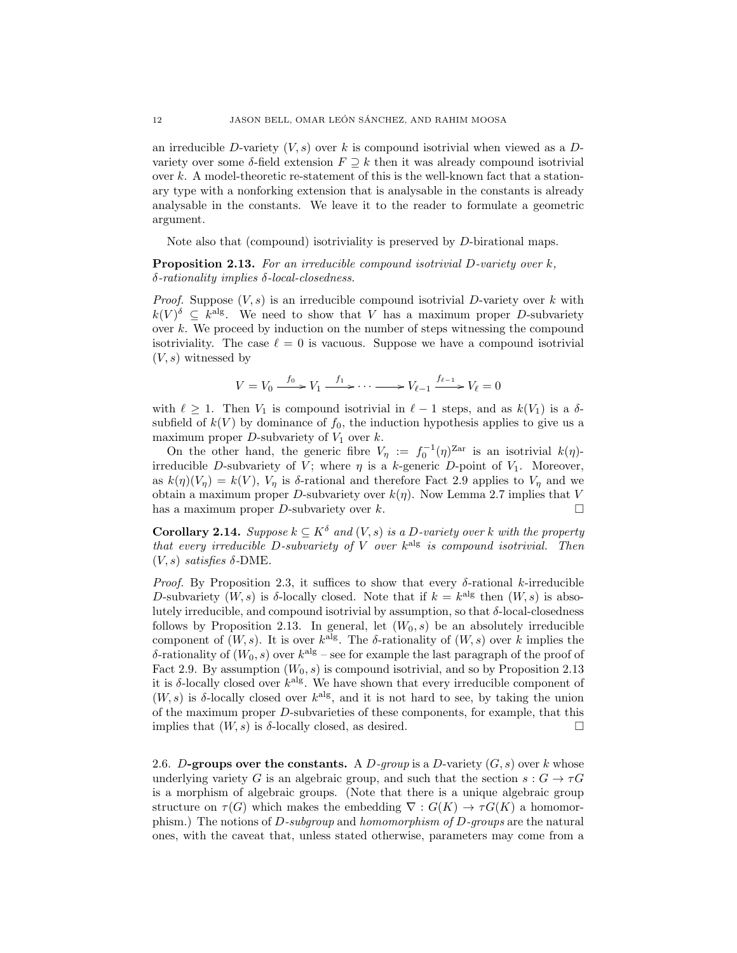an irreducible D-variety  $(V, s)$  over k is compound isotrivial when viewed as a Dvariety over some  $\delta$ -field extension  $F \supseteq k$  then it was already compound isotrivial over  $k$ . A model-theoretic re-statement of this is the well-known fact that a stationary type with a nonforking extension that is analysable in the constants is already analysable in the constants. We leave it to the reader to formulate a geometric argument.

Note also that (compound) isotriviality is preserved by D-birational maps.

Proposition 2.13. For an irreducible compound isotrivial D-variety over k, δ-rationality implies δ-local-closedness.

*Proof.* Suppose  $(V, s)$  is an irreducible compound isotrivial D-variety over k with  $k(V)^{\delta} \subseteq k^{\text{alg}}$ . We need to show that V has a maximum proper D-subvariety over  $k$ . We proceed by induction on the number of steps witnessing the compound isotriviality. The case  $\ell = 0$  is vacuous. Suppose we have a compound isotrivial  $(V, s)$  witnessed by

$$
V = V_0 \xrightarrow{f_0} V_1 \xrightarrow{f_1} \cdots \xrightarrow{f_{\ell-1}} V_{\ell-1} \xrightarrow{f_{\ell-1}} V_{\ell} = 0
$$

with  $\ell \geq 1$ . Then  $V_1$  is compound isotrivial in  $\ell - 1$  steps, and as  $k(V_1)$  is a  $\delta$ subfield of  $k(V)$  by dominance of  $f_0$ , the induction hypothesis applies to give us a maximum proper  $D$ -subvariety of  $V_1$  over  $k$ .

On the other hand, the generic fibre  $V_{\eta} := f_0^{-1}(\eta)^{\text{Zar}}$  is an isotrivial  $k(\eta)$ irreducible D-subvariety of V; where  $\eta$  is a k-generic D-point of V<sub>1</sub>. Moreover, as  $k(\eta)(V_{\eta}) = k(V)$ ,  $V_{\eta}$  is  $\delta$ -rational and therefore Fact 2.9 applies to  $V_{\eta}$  and we obtain a maximum proper D-subvariety over  $k(\eta)$ . Now Lemma 2.7 implies that V has a maximum proper *D*-subvariety over k.  $\square$ 

**Corollary 2.14.** Suppose  $k \subseteq K^{\delta}$  and  $(V, s)$  is a D-variety over k with the property that every irreducible D-subvariety of  $V$  over  $k^{\text{alg}}$  is compound isotrivial. Then  $(V, s)$  satisfies  $\delta$ -DME.

*Proof.* By Proposition 2.3, it suffices to show that every  $\delta$ -rational k-irreducible D-subvariety  $(W, s)$  is  $\delta$ -locally closed. Note that if  $k = k^{\text{alg}}$  then  $(W, s)$  is absolutely irreducible, and compound isotrivial by assumption, so that δ-local-closedness follows by Proposition 2.13. In general, let  $(W_0, s)$  be an absolutely irreducible component of  $(W, s)$ . It is over  $k^{\text{alg}}$ . The  $\delta$ -rationality of  $(W, s)$  over k implies the δ-rationality of  $(W_0, s)$  over  $k^{\text{alg}}$  – see for example the last paragraph of the proof of Fact 2.9. By assumption  $(W_0, s)$  is compound isotrivial, and so by Proposition 2.13 it is  $\delta$ -locally closed over  $k^{\text{alg}}$ . We have shown that every irreducible component of  $(W, s)$  is  $\delta$ -locally closed over  $k^{\text{alg}}$ , and it is not hard to see, by taking the union of the maximum proper D-subvarieties of these components, for example, that this implies that  $(W, s)$  is  $\delta$ -locally closed, as desired.

2.6. D-groups over the constants. A D-group is a D-variety  $(G, s)$  over k whose underlying variety G is an algebraic group, and such that the section  $s: G \to \tau G$ is a morphism of algebraic groups. (Note that there is a unique algebraic group structure on  $\tau(G)$  which makes the embedding  $\nabla : G(K) \to \tau G(K)$  a homomorphism.) The notions of  $D$ -subgroup and homomorphism of  $D$ -groups are the natural ones, with the caveat that, unless stated otherwise, parameters may come from a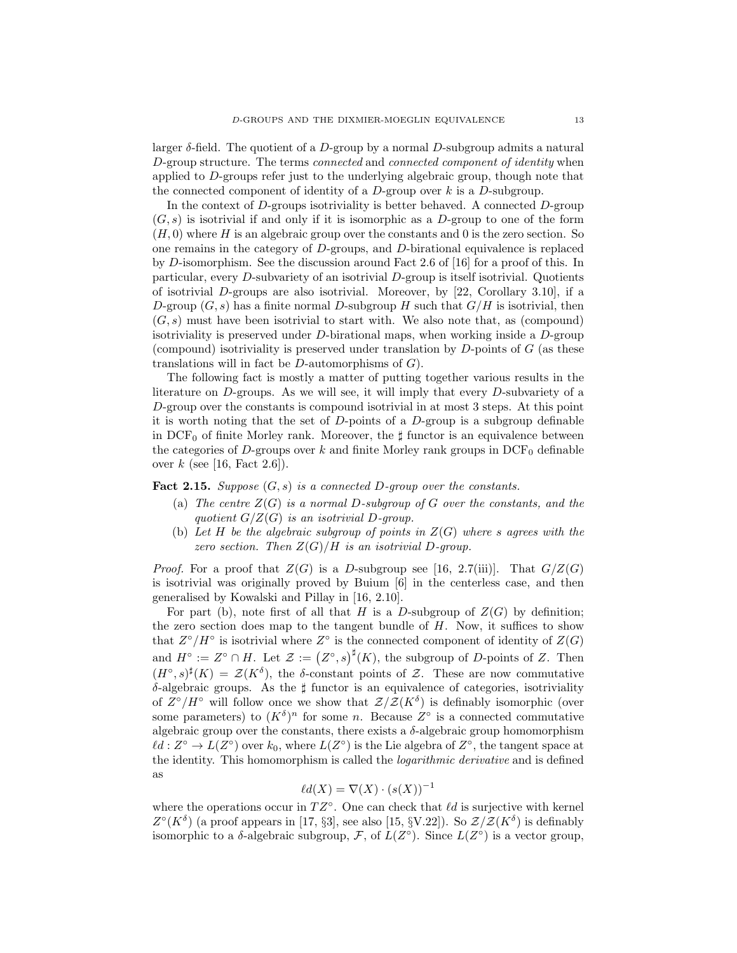larger  $\delta$ -field. The quotient of a D-group by a normal D-subgroup admits a natural D-group structure. The terms connected and connected component of identity when applied to D-groups refer just to the underlying algebraic group, though note that the connected component of identity of a  $D$ -group over k is a  $D$ -subgroup.

In the context of  $D$ -groups isotriviality is better behaved. A connected  $D$ -group  $(G, s)$  is isotrivial if and only if it is isomorphic as a D-group to one of the form  $(H, 0)$  where H is an algebraic group over the constants and 0 is the zero section. So one remains in the category of D-groups, and D-birational equivalence is replaced by D-isomorphism. See the discussion around Fact 2.6 of [16] for a proof of this. In particular, every D-subvariety of an isotrivial D-group is itself isotrivial. Quotients of isotrivial  $D$ -groups are also isotrivial. Moreover, by [22, Corollary 3.10], if a D-group  $(G, s)$  has a finite normal D-subgroup H such that  $G/H$  is isotrivial, then  $(G, s)$  must have been isotrivial to start with. We also note that, as (compound) isotriviality is preserved under  $D$ -birational maps, when working inside a  $D$ -group (compound) isotriviality is preserved under translation by  $D$ -points of  $G$  (as these translations will in fact be  $D$ -automorphisms of  $G$ ).

The following fact is mostly a matter of putting together various results in the literature on D-groups. As we will see, it will imply that every D-subvariety of a D-group over the constants is compound isotrivial in at most 3 steps. At this point it is worth noting that the set of  $D$ -points of a  $D$ -group is a subgroup definable in  $DCF_0$  of finite Morley rank. Moreover, the  $\sharp$  functor is an equivalence between the categories of D-groups over k and finite Morley rank groups in  $DCF_0$  definable over  $k$  (see [16, Fact 2.6]).

**Fact 2.15.** Suppose  $(G, s)$  is a connected D-group over the constants.

- (a) The centre  $Z(G)$  is a normal D-subgroup of G over the constants, and the quotient  $G/Z(G)$  is an isotrivial D-group.
- (b) Let H be the algebraic subgroup of points in  $Z(G)$  where s agrees with the zero section. Then  $Z(G)/H$  is an isotrivial D-group.

*Proof.* For a proof that  $Z(G)$  is a D-subgroup see [16, 2.7(iii)]. That  $G/Z(G)$ is isotrivial was originally proved by Buium [6] in the centerless case, and then generalised by Kowalski and Pillay in [16, 2.10].

For part (b), note first of all that H is a D-subgroup of  $Z(G)$  by definition; the zero section does map to the tangent bundle of  $H$ . Now, it suffices to show that  $Z^{\circ}/H^{\circ}$  is isotrivial where  $Z^{\circ}$  is the connected component of identity of  $Z(G)$ and  $H^{\circ} := Z^{\circ} \cap H$ . Let  $\mathcal{Z} := (Z^{\circ}, s)^{\sharp}(K)$ , the subgroup of D-points of Z. Then  $(H^{\circ}, s)^{\sharp}(K) = \mathcal{Z}(K^{\delta}),$  the  $\delta$ -constant points of  $\mathcal{Z}$ . These are now commutative  $\delta$ -algebraic groups. As the  $\sharp$  functor is an equivalence of categories, isotriviality of  $Z^{\circ}/H^{\circ}$  will follow once we show that  $\mathcal{Z}/\mathcal{Z}(K^{\delta})$  is definably isomorphic (over some parameters) to  $(K^{\delta})^n$  for some n. Because  $Z^{\circ}$  is a connected commutative algebraic group over the constants, there exists a  $\delta$ -algebraic group homomorphism  $\ell d : Z^{\circ} \to L(Z^{\circ})$  over  $k_0$ , where  $L(Z^{\circ})$  is the Lie algebra of  $Z^{\circ}$ , the tangent space at the identity. This homomorphism is called the logarithmic derivative and is defined as

$$
\ell d(X) = \nabla(X) \cdot (s(X))^{-1}
$$

where the operations occur in  $TZ^{\circ}$ . One can check that  $\ell d$  is surjective with kernel  $Z^{\circ}(K^{\delta})$  (a proof appears in [17, §3], see also [15, §V.22]). So  $\mathcal{Z}/\mathcal{Z}(K^{\delta})$  is definably isomorphic to a  $\delta$ -algebraic subgroup, F, of  $L(Z^{\circ})$ . Since  $L(Z^{\circ})$  is a vector group,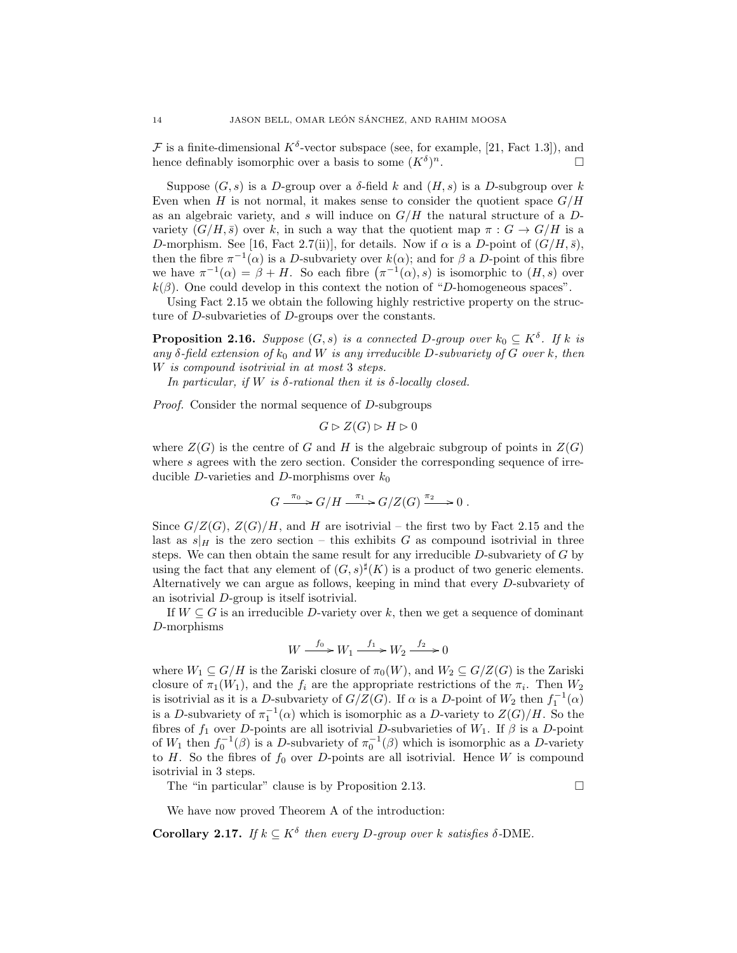F is a finite-dimensional  $K^{\delta}$ -vector subspace (see, for example, [21, Fact 1.3]), and hence definably isomorphic over a basis to some  $(K^{\delta})$  $\overline{\phantom{a}}$ .

Suppose  $(G, s)$  is a D-group over a  $\delta$ -field k and  $(H, s)$  is a D-subgroup over k Even when H is not normal, it makes sense to consider the quotient space  $G/H$ as an algebraic variety, and s will induce on  $G/H$  the natural structure of a Dvariety  $(G/H, \bar{s})$  over k, in such a way that the quotient map  $\pi : G \to G/H$  is a D-morphism. See [16, Fact 2.7(ii)], for details. Now if  $\alpha$  is a D-point of  $(G/H, \bar{s})$ , then the fibre  $\pi^{-1}(\alpha)$  is a D-subvariety over  $k(\alpha)$ ; and for  $\beta$  a D-point of this fibre we have  $\pi^{-1}(\alpha) = \beta + H$ . So each fibre  $(\pi^{-1}(\alpha), s)$  is isomorphic to  $(H, s)$  over  $k(\beta)$ . One could develop in this context the notion of "D-homogeneous spaces".

Using Fact 2.15 we obtain the following highly restrictive property on the structure of D-subvarieties of D-groups over the constants.

**Proposition 2.16.** Suppose  $(G, s)$  is a connected D-group over  $k_0 \subseteq K^{\delta}$ . If k is any  $\delta$ -field extension of  $k_0$  and W is any irreducible D-subvariety of G over k, then W is compound isotrivial in at most 3 steps.

In particular, if W is  $\delta$ -rational then it is  $\delta$ -locally closed.

Proof. Consider the normal sequence of D-subgroups

$$
G \rhd Z(G) \rhd H \rhd 0
$$

where  $Z(G)$  is the centre of G and H is the algebraic subgroup of points in  $Z(G)$ where s agrees with the zero section. Consider the corresponding sequence of irreducible D-varieties and D-morphisms over  $k_0$ 

$$
G \xrightarrow{\pi_0} G/H \xrightarrow{\pi_1} G/Z(G) \xrightarrow{\pi_2} 0.
$$

Since  $G/Z(G)$ ,  $Z(G)/H$ , and H are isotrivial – the first two by Fact 2.15 and the last as  $s|_H$  is the zero section – this exhibits G as compound isotrivial in three steps. We can then obtain the same result for any irreducible  $D$ -subvariety of  $G$  by using the fact that any element of  $(G, s)^{\sharp}(K)$  is a product of two generic elements. Alternatively we can argue as follows, keeping in mind that every D-subvariety of an isotrivial D-group is itself isotrivial.

If  $W \subseteq G$  is an irreducible D-variety over k, then we get a sequence of dominant D-morphisms

$$
W \xrightarrow{f_0} W_1 \xrightarrow{f_1} W_2 \xrightarrow{f_2} 0
$$

where  $W_1 \subseteq G/H$  is the Zariski closure of  $\pi_0(W)$ , and  $W_2 \subseteq G/Z(G)$  is the Zariski closure of  $\pi_1(W_1)$ , and the  $f_i$  are the appropriate restrictions of the  $\pi_i$ . Then  $W_2$ is isotrivial as it is a D-subvariety of  $G/Z(G)$ . If  $\alpha$  is a D-point of  $W_2$  then  $f_1^{-1}(\alpha)$ is a D-subvariety of  $\pi_1^{-1}(\alpha)$  which is isomorphic as a D-variety to  $Z(G)/H$ . So the fibres of  $f_1$  over D-points are all isotrivial D-subvarieties of  $W_1$ . If  $\beta$  is a D-point of  $W_1$  then  $f_0^{-1}(\beta)$  is a D-subvariety of  $\pi_0^{-1}(\beta)$  which is isomorphic as a D-variety to H. So the fibres of  $f_0$  over D-points are all isotrivial. Hence W is compound isotrivial in 3 steps.

The "in particular" clause is by Proposition 2.13.  $\Box$ 

We have now proved Theorem A of the introduction:

**Corollary 2.17.** If  $k \subseteq K^{\delta}$  then every D-group over k satisfies  $\delta$ -DME.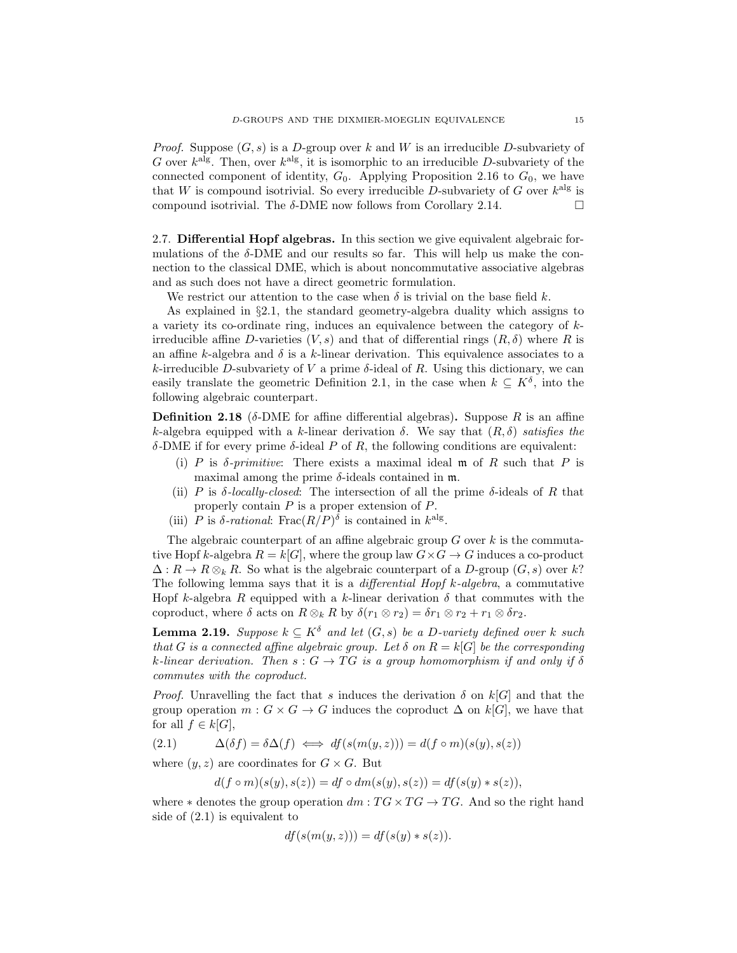*Proof.* Suppose  $(G, s)$  is a D-group over k and W is an irreducible D-subvariety of G over  $k^{\text{alg}}$ . Then, over  $k^{\text{alg}}$ , it is isomorphic to an irreducible D-subvariety of the connected component of identity,  $G_0$ . Applying Proposition 2.16 to  $G_0$ , we have that W is compound isotrivial. So every irreducible D-subvariety of G over  $k^{\text{alg}}$  is compound isotrivial. The  $\delta$ -DME now follows from Corollary 2.14.

2.7. Differential Hopf algebras. In this section we give equivalent algebraic formulations of the  $\delta$ -DME and our results so far. This will help us make the connection to the classical DME, which is about noncommutative associative algebras and as such does not have a direct geometric formulation.

We restrict our attention to the case when  $\delta$  is trivial on the base field k.

As explained in §2.1, the standard geometry-algebra duality which assigns to a variety its co-ordinate ring, induces an equivalence between the category of  $k$ irreducible affine D-varieties  $(V, s)$  and that of differential rings  $(R, \delta)$  where R is an affine k-algebra and  $\delta$  is a k-linear derivation. This equivalence associates to a k-irreducible D-subvariety of V a prime  $\delta$ -ideal of R. Using this dictionary, we can easily translate the geometric Definition 2.1, in the case when  $k \subseteq K^{\delta}$ , into the following algebraic counterpart.

**Definition 2.18** ( $\delta$ -DME for affine differential algebras). Suppose R is an affine k-algebra equipped with a k-linear derivation  $\delta$ . We say that  $(R, \delta)$  satisfies the δ-DME if for every prime δ-ideal P of R, the following conditions are equivalent:

- (i) P is  $\delta$ -primitive: There exists a maximal ideal m of R such that P is maximal among the prime  $\delta$ -ideals contained in  $m$ .
- (ii) P is  $\delta$ -locally-closed: The intersection of all the prime  $\delta$ -ideals of R that properly contain  $P$  is a proper extension of  $P$ .
- (iii) P is  $\delta$ -rational: Frac $(R/P)^{\delta}$  is contained in  $k^{\text{alg}}$ .

The algebraic counterpart of an affine algebraic group  $G$  over  $k$  is the commutative Hopf k-algebra  $R = k[G]$ , where the group law  $G \times G \to G$  induces a co-product  $\Delta: R \to R \otimes_k R$ . So what is the algebraic counterpart of a D-group  $(G, s)$  over k? The following lemma says that it is a *differential Hopf k-algebra*, a commutative Hopf k-algebra R equipped with a k-linear derivation  $\delta$  that commutes with the coproduct, where  $\delta$  acts on  $R \otimes_k R$  by  $\delta(r_1 \otimes r_2) = \delta r_1 \otimes r_2 + r_1 \otimes \delta r_2$ .

**Lemma 2.19.** Suppose  $k \text{ }\subseteq K^{\delta}$  and let  $(G, s)$  be a D-variety defined over k such that G is a connected affine algebraic group. Let  $\delta$  on  $R = k[G]$  be the corresponding k-linear derivation. Then  $s: G \to TG$  is a group homomorphism if and only if  $\delta$ commutes with the coproduct.

*Proof.* Unravelling the fact that s induces the derivation  $\delta$  on  $k[G]$  and that the group operation  $m: G \times G \to G$  induces the coproduct  $\Delta$  on k[G], we have that for all  $f \in k[G],$ 

(2.1) 
$$
\Delta(\delta f) = \delta \Delta(f) \iff df(s(m(y, z))) = d(f \circ m)(s(y), s(z))
$$

where  $(y, z)$  are coordinates for  $G \times G$ . But

 $d(f \circ m)(s(y), s(z)) = df \circ dm(s(y), s(z)) = df(s(y) * s(z)),$ 

where  $*$  denotes the group operation  $dm : TG \times TG \rightarrow TG$ . And so the right hand side of (2.1) is equivalent to

$$
df(s(m(y, z))) = df(s(y) * s(z)).
$$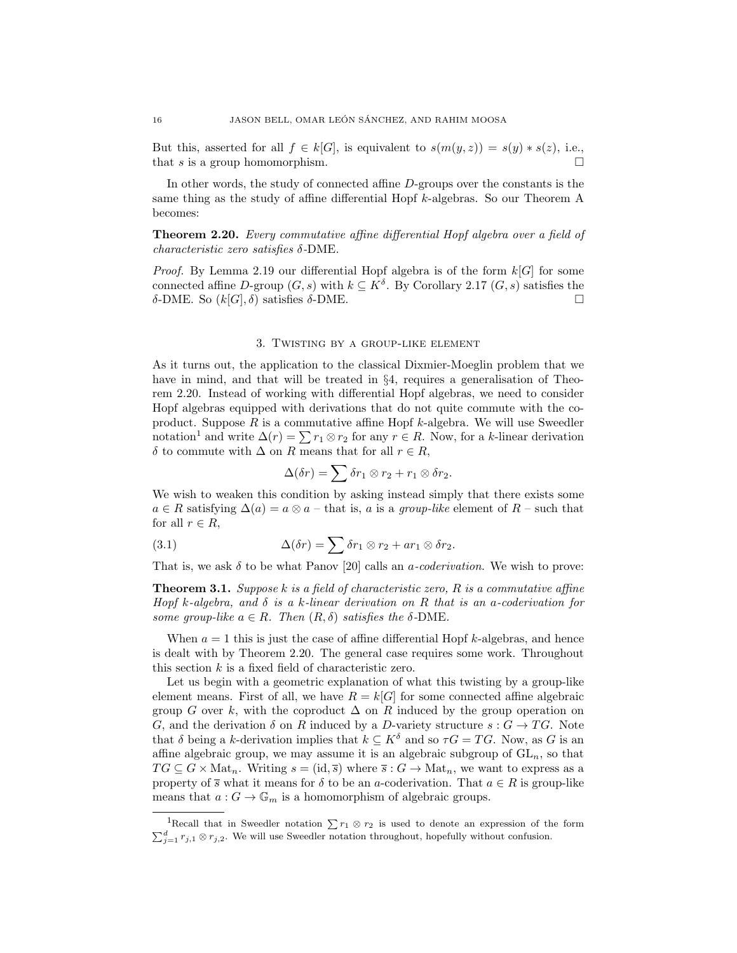But this, asserted for all  $f \in k[G]$ , is equivalent to  $s(m(y, z)) = s(y) * s(z)$ , i.e., that s is a group homomorphism.

In other words, the study of connected affine D-groups over the constants is the same thing as the study of affine differential Hopf k-algebras. So our Theorem A becomes:

Theorem 2.20. Every commutative affine differential Hopf algebra over a field of characteristic zero satisfies δ-DME.

*Proof.* By Lemma 2.19 our differential Hopf algebra is of the form  $k[G]$  for some connected affine D-group  $(G, s)$  with  $k \subseteq K^{\delta}$ . By Corollary 2.17  $(G, s)$  satisfies the δ-DME. So  $(k[G], \delta)$  satisfies δ-DME.

### 3. Twisting by a group-like element

As it turns out, the application to the classical Dixmier-Moeglin problem that we have in mind, and that will be treated in §4, requires a generalisation of Theorem 2.20. Instead of working with differential Hopf algebras, we need to consider Hopf algebras equipped with derivations that do not quite commute with the coproduct. Suppose  $R$  is a commutative affine Hopf  $k$ -algebra. We will use Sweedler notation<sup>1</sup> and write  $\Delta(r) = \sum r_1 \otimes r_2$  for any  $r \in R$ . Now, for a k-linear derivation δ to commute with  $\Delta$  on R means that for all  $r \in R$ ,

$$
\Delta(\delta r) = \sum \delta r_1 \otimes r_2 + r_1 \otimes \delta r_2.
$$

We wish to weaken this condition by asking instead simply that there exists some  $a \in R$  satisfying  $\Delta(a) = a \otimes a$  – that is, a is a group-like element of  $R$  – such that for all  $r \in R$ ,

(3.1) 
$$
\Delta(\delta r) = \sum \delta r_1 \otimes r_2 + ar_1 \otimes \delta r_2.
$$

That is, we ask  $\delta$  to be what Panov [20] calls an *a-coderivation*. We wish to prove:

**Theorem 3.1.** Suppose k is a field of characteristic zero,  $R$  is a commutative affine Hopf k-algebra, and  $\delta$  is a k-linear derivation on R that is an a-coderivation for some group-like  $a \in R$ . Then  $(R, \delta)$  satisfies the  $\delta$ -DME.

When  $a = 1$  this is just the case of affine differential Hopf k-algebras, and hence is dealt with by Theorem 2.20. The general case requires some work. Throughout this section  $k$  is a fixed field of characteristic zero.

Let us begin with a geometric explanation of what this twisting by a group-like element means. First of all, we have  $R = k[G]$  for some connected affine algebraic group G over k, with the coproduct  $\Delta$  on R induced by the group operation on G, and the derivation  $\delta$  on R induced by a D-variety structure  $s: G \to TG$ . Note that  $\delta$  being a k-derivation implies that  $k \subseteq K^{\delta}$  and so  $\tau G = TG$ . Now, as G is an affine algebraic group, we may assume it is an algebraic subgroup of  $GL_n$ , so that  $TG \subseteq G \times \text{Mat}_n$ . Writing  $s = (\text{id}, \overline{s})$  where  $\overline{s} : G \to \text{Mat}_n$ , we want to express as a property of  $\bar{s}$  what it means for  $\delta$  to be an a-coderivation. That  $a \in R$  is group-like means that  $a: G \to \mathbb{G}_m$  is a homomorphism of algebraic groups.

<sup>&</sup>lt;sup>1</sup>Recall that in Sweedler notation  $\sum r_1 \otimes r_2$  is used to denote an expression of the form  $\sum_{j=1}^{d} r_{j,1} \otimes r_{j,2}$ . We will use Sweedler notation throughout, hopefully without confusion.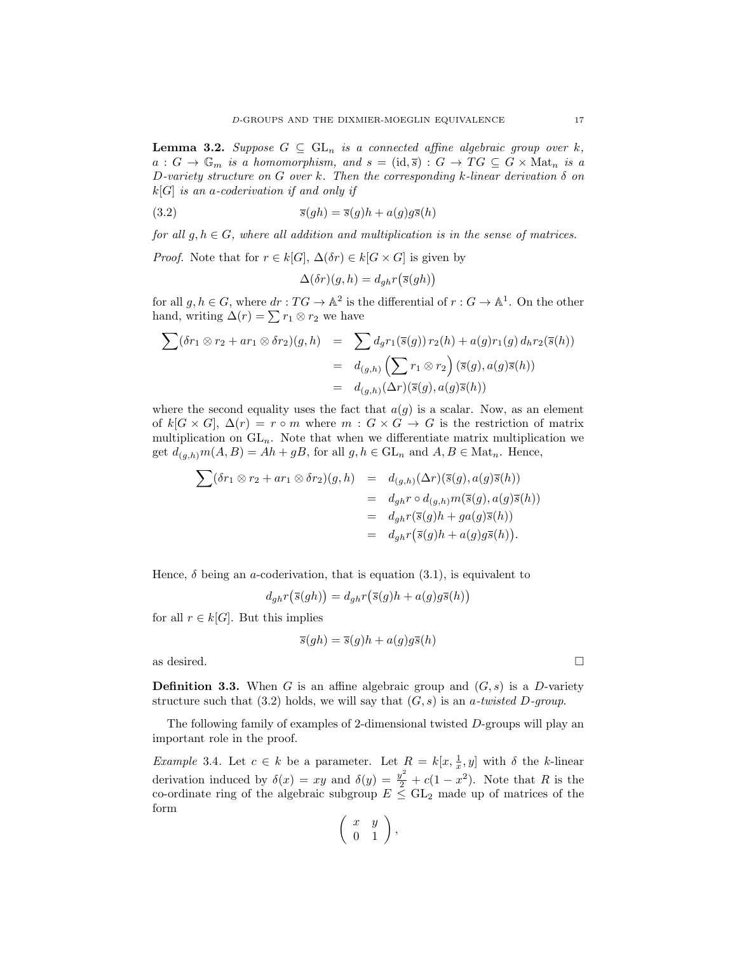**Lemma 3.2.** Suppose  $G \subseteq GL_n$  is a connected affine algebraic group over k,  $a: G \to \mathbb{G}_m$  is a homomorphism, and  $s = (\text{id}, \overline{s}) : G \to TG \subseteq G \times \text{Mat}_n$  is a D-variety structure on G over k. Then the corresponding k-linear derivation  $\delta$  on  $k[G]$  is an a-coderivation if and only if

(3.2) 
$$
\overline{s}(gh) = \overline{s}(g)h + a(g)g\overline{s}(h)
$$

for all  $g, h \in G$ , where all addition and multiplication is in the sense of matrices.

*Proof.* Note that for  $r \in k[G], \Delta(\delta r) \in k[G \times G]$  is given by

$$
\Delta(\delta r)(g, h) = d_{gh} r(\overline{s}(gh))
$$

for all  $g, h \in G$ , where  $dr : TG \to \mathbb{A}^2$  is the differential of  $r : G \to \mathbb{A}^1$ . On the other hand, writing  $\Delta(r) = \sum r_1 \otimes r_2$  we have

$$
\sum (\delta r_1 \otimes r_2 + ar_1 \otimes \delta r_2)(g, h) = \sum d_g r_1(\overline{s}(g)) r_2(h) + a(g) r_1(g) d_h r_2(\overline{s}(h))
$$
  
=  $d_{(g,h)} \left( \sum r_1 \otimes r_2 \right) (\overline{s}(g), a(g)\overline{s}(h))$   
=  $d_{(g,h)}(\Delta r)(\overline{s}(g), a(g)\overline{s}(h))$ 

where the second equality uses the fact that  $a(g)$  is a scalar. Now, as an element of  $k[G \times G], \Delta(r) = r \circ m$  where  $m : G \times G \rightarrow G$  is the restriction of matrix multiplication on  $GL_n$ . Note that when we differentiate matrix multiplication we get  $d_{(g,h)}m(A, B) = Ah + gB$ , for all  $g, h \in GL_n$  and  $A, B \in Mat_n$ . Hence,

$$
\sum (\delta r_1 \otimes r_2 + ar_1 \otimes \delta r_2)(g, h) = d_{(g,h)}(\Delta r)(\overline{s}(g), a(g)\overline{s}(h))
$$
  
=  $d_{gh}r \circ d_{(g,h)}m(\overline{s}(g), a(g)\overline{s}(h))$   
=  $d_{gh}r(\overline{s}(g)h + ga(g)\overline{s}(h))$   
=  $d_{gh}r(\overline{s}(g)h + a(g)g\overline{s}(h)).$ 

Hence,  $\delta$  being an *a*-coderivation, that is equation (3.1), is equivalent to

$$
d_{gh}r(\overline{s}(gh)) = d_{gh}r(\overline{s}(g)h + a(g)g\overline{s}(h))
$$

for all  $r \in k[G]$ . But this implies

$$
\overline{s}(gh) = \overline{s}(g)h + a(g)g\overline{s}(h)
$$

as desired.  $\Box$ 

**Definition 3.3.** When G is an affine algebraic group and  $(G, s)$  is a D-variety structure such that (3.2) holds, we will say that  $(G, s)$  is an a-twisted D-group.

The following family of examples of 2-dimensional twisted D-groups will play an important role in the proof.

*Example* 3.4. Let  $c \in k$  be a parameter. Let  $R = k[x, \frac{1}{x}, y]$  with  $\delta$  the k-linear derivation induced by  $\delta(x) = xy$  and  $\delta(y) = \frac{y^2}{2} + c(1 - x^2)$ . Note that R is the co-ordinate ring of the algebraic subgroup  $E \leq GL_2$  made up of matrices of the form

$$
\left(\begin{array}{cc} x & y \\ 0 & 1 \end{array}\right),
$$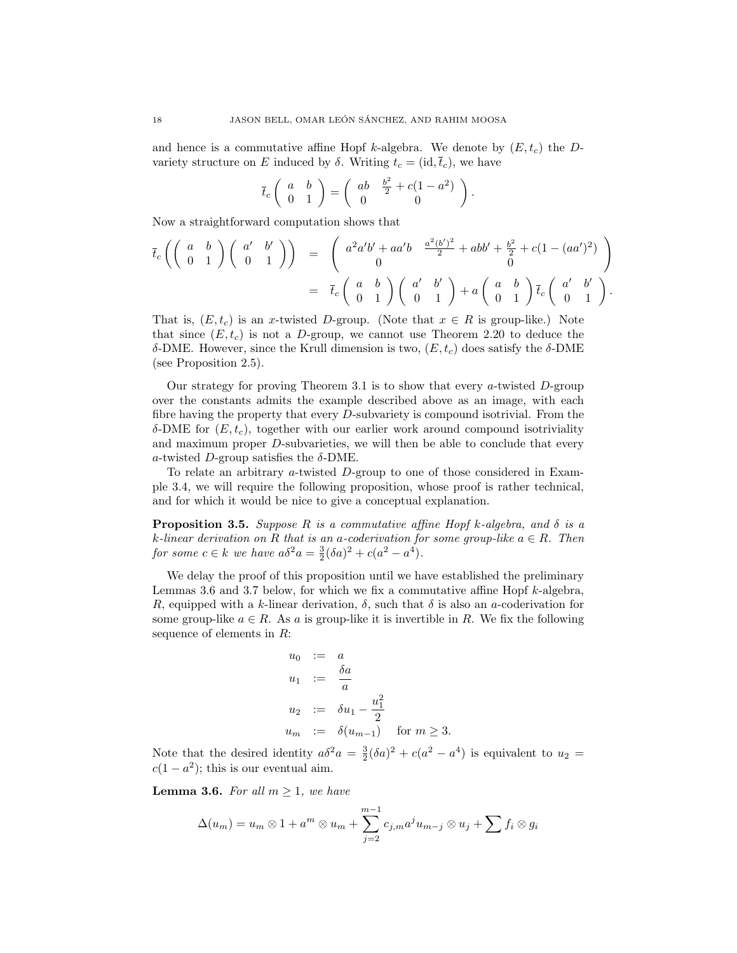and hence is a commutative affine Hopf k-algebra. We denote by  $(E, t_c)$  the Dvariety structure on E induced by  $\delta$ . Writing  $t_c = (id, \overline{t}_c)$ , we have

$$
\overline{t}_c\left(\begin{array}{cc}a&b\\0&1\end{array}\right)=\left(\begin{array}{cc}ab&\frac{b^2}{2}+c(1-a^2)\\0&0\end{array}\right).
$$

Now a straightforward computation shows that

$$
\overline{t}_c \left( \left( \begin{array}{cc} a & b \\ 0 & 1 \end{array} \right) \left( \begin{array}{cc} a' & b' \\ 0 & 1 \end{array} \right) \right) \quad = \quad \left( \begin{array}{cc} a^2 a'b' + a a'b & \frac{a^2 (b')^2}{2} + abb' + \frac{b^2}{2} + c(1 - (aa')^2) \\ 0 & 0 \end{array} \right) \\
= \quad \overline{t}_c \left( \begin{array}{cc} a & b \\ 0 & 1 \end{array} \right) \left( \begin{array}{cc} a' & b' \\ 0 & 1 \end{array} \right) + a \left( \begin{array}{cc} a & b \\ 0 & 1 \end{array} \right) \overline{t}_c \left( \begin{array}{cc} a' & b' \\ 0 & 1 \end{array} \right).
$$

That is,  $(E, t_c)$  is an x-twisted D-group. (Note that  $x \in R$  is group-like.) Note that since  $(E, t_c)$  is not a D-group, we cannot use Theorem 2.20 to deduce the δ-DME. However, since the Krull dimension is two,  $(E, t_c)$  does satisfy the δ-DME (see Proposition 2.5).

Our strategy for proving Theorem 3.1 is to show that every a-twisted  $D$ -group over the constants admits the example described above as an image, with each fibre having the property that every D-subvariety is compound isotrivial. From the δ-DME for  $(E, t_c)$ , together with our earlier work around compound isotriviality and maximum proper D-subvarieties, we will then be able to conclude that every a-twisted D-group satisfies the  $\delta$ -DME.

To relate an arbitrary a-twisted D-group to one of those considered in Example 3.4, we will require the following proposition, whose proof is rather technical, and for which it would be nice to give a conceptual explanation.

**Proposition 3.5.** Suppose R is a commutative affine Hopf k-algebra, and  $\delta$  is a k-linear derivation on R that is an a-coderivation for some group-like  $a \in R$ . Then for some  $c \in k$  we have  $a\delta^2 a = \frac{3}{2}(\delta a)^2 + c(a^2 - a^4)$ .

We delay the proof of this proposition until we have established the preliminary Lemmas 3.6 and 3.7 below, for which we fix a commutative affine Hopf  $k$ -algebra, R, equipped with a k-linear derivation,  $\delta$ , such that  $\delta$  is also an a-coderivation for some group-like  $a \in R$ . As a is group-like it is invertible in R. We fix the following sequence of elements in R:

$$
u_0 := a
$$
  
\n
$$
u_1 := \frac{\delta a}{a}
$$
  
\n
$$
u_2 := \delta u_1 - \frac{u_1^2}{2}
$$
  
\n
$$
u_m := \delta (u_{m-1}) \quad \text{for } m \ge 3.
$$

Note that the desired identity  $a\delta^2 a = \frac{3}{2}(\delta a)^2 + c(a^2 - a^4)$  is equivalent to  $u_2 =$  $c(1 - a^2)$ ; this is our eventual aim.

**Lemma 3.6.** For all  $m \geq 1$ , we have

$$
\Delta(u_m) = u_m \otimes 1 + a^m \otimes u_m + \sum_{j=2}^{m-1} c_{j,m} a^j u_{m-j} \otimes u_j + \sum f_i \otimes g_i
$$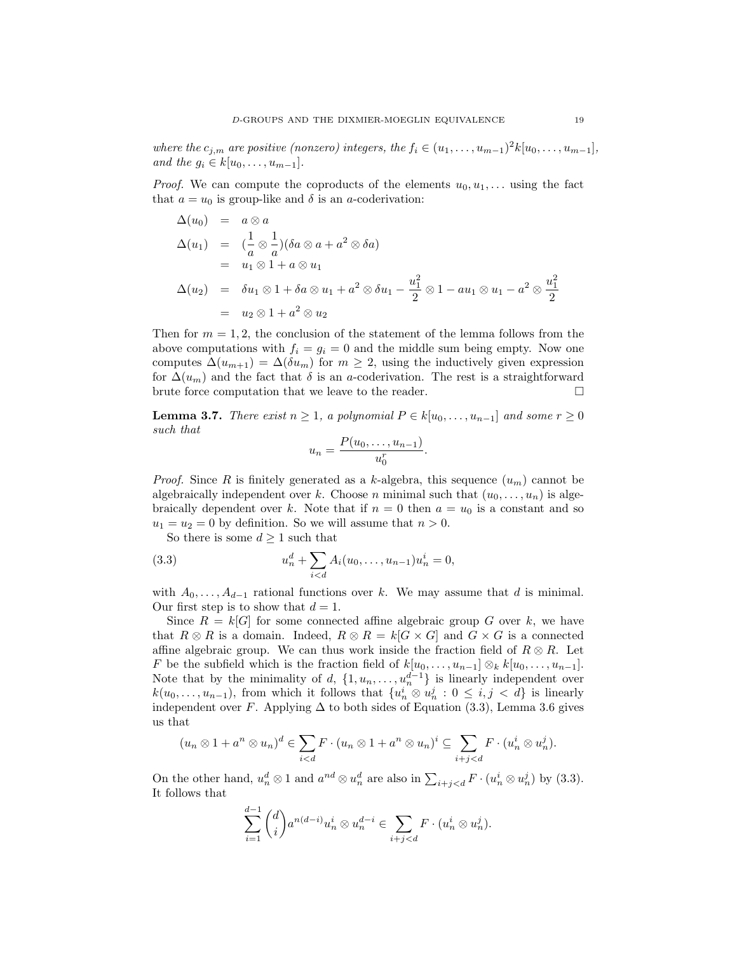where the  $c_{j,m}$  are positive (nonzero) integers, the  $f_i \in (u_1, \ldots, u_{m-1})^2 k[u_0, \ldots, u_{m-1}],$ and the  $g_i \in k[u_0, \ldots, u_{m-1}].$ 

*Proof.* We can compute the coproducts of the elements  $u_0, u_1, \ldots$  using the fact that  $a = u_0$  is group-like and  $\delta$  is an a-coderivation:

$$
\Delta(u_0) = a \otimes a
$$
  
\n
$$
\Delta(u_1) = \left(\frac{1}{a} \otimes \frac{1}{a}\right) (\delta a \otimes a + a^2 \otimes \delta a)
$$
  
\n
$$
= u_1 \otimes 1 + a \otimes u_1
$$
  
\n
$$
\Delta(u_2) = \delta u_1 \otimes 1 + \delta a \otimes u_1 + a^2 \otimes \delta u_1 - \frac{u_1^2}{2} \otimes 1 - au_1 \otimes u_1 - a^2 \otimes \frac{u_1^2}{2}
$$
  
\n
$$
= u_2 \otimes 1 + a^2 \otimes u_2
$$

Then for  $m = 1, 2$ , the conclusion of the statement of the lemma follows from the above computations with  $f_i = g_i = 0$  and the middle sum being empty. Now one computes  $\Delta(u_{m+1}) = \Delta(\delta u_m)$  for  $m \geq 2$ , using the inductively given expression for  $\Delta(u_m)$  and the fact that  $\delta$  is an a-coderivation. The rest is a straightforward brute force computation that we leave to the reader.  $\hfill \Box$ 

**Lemma 3.7.** There exist  $n \geq 1$ , a polynomial  $P \in k[u_0, \ldots, u_{n-1}]$  and some  $r \geq 0$ such that

$$
u_n=\frac{P(u_0,\ldots,u_{n-1})}{u_0^r}.
$$

*Proof.* Since R is finitely generated as a k-algebra, this sequence  $(u_m)$  cannot be algebraically independent over k. Choose n minimal such that  $(u_0, \ldots, u_n)$  is algebraically dependent over k. Note that if  $n = 0$  then  $a = u_0$  is a constant and so  $u_1 = u_2 = 0$  by definition. So we will assume that  $n > 0$ .

So there is some  $d \geq 1$  such that

(3.3) 
$$
u_n^d + \sum_{i < d} A_i(u_0, \dots, u_{n-1}) u_n^i = 0,
$$

with  $A_0, \ldots, A_{d-1}$  rational functions over k. We may assume that d is minimal. Our first step is to show that  $d = 1$ .

Since  $R = k[G]$  for some connected affine algebraic group G over k, we have that  $R \otimes R$  is a domain. Indeed,  $R \otimes R = k[G \times G]$  and  $G \times G$  is a connected affine algebraic group. We can thus work inside the fraction field of  $R \otimes R$ . Let F be the subfield which is the fraction field of  $k[u_0, \ldots, u_{n-1}] \otimes_k k[u_0, \ldots, u_{n-1}]$ . Note that by the minimality of d,  $\{1, u_n, \ldots, u_n^{d-1}\}$  is linearly independent over  $k(u_0, \ldots, u_{n-1})$ , from which it follows that  $\{u_n^i \otimes u_n^j : 0 \leq i, j < d\}$  is linearly independent over F. Applying  $\Delta$  to both sides of Equation (3.3), Lemma 3.6 gives us that

$$
(u_n \otimes 1 + a^n \otimes u_n)^d \in \sum_{i < d} F \cdot (u_n \otimes 1 + a^n \otimes u_n)^i \subseteq \sum_{i+j < d} F \cdot (u_n^i \otimes u_n^j).
$$

On the other hand,  $u_n^d \otimes 1$  and  $a^{nd} \otimes u_n^d$  are also in  $\sum_{i+j by (3.3).$ It follows that

$$
\sum_{i=1}^{d-1} \binom{d}{i} a^{n(d-i)} u_n^i \otimes u_n^{d-i} \in \sum_{i+j < d} F \cdot (u_n^i \otimes u_n^j).
$$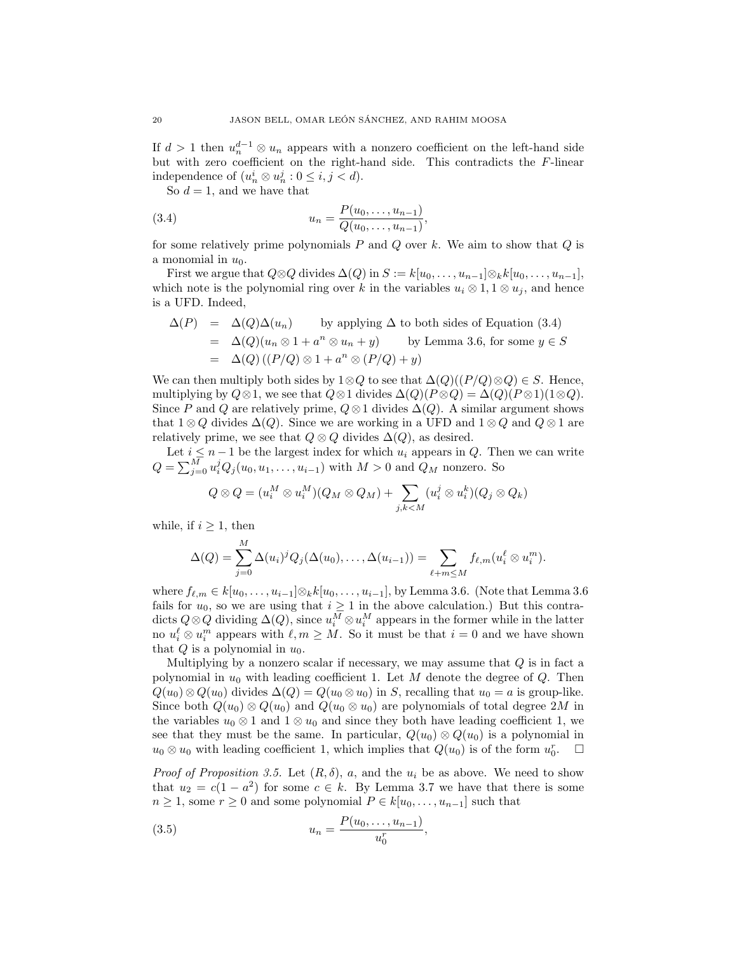If  $d > 1$  then  $u_n^{d-1} \otimes u_n$  appears with a nonzero coefficient on the left-hand side but with zero coefficient on the right-hand side. This contradicts the F-linear independence of  $(u_n^i \otimes u_n^j : 0 \le i, j < d)$ .

So  $d = 1$ , and we have that

(3.4) 
$$
u_n = \frac{P(u_0, \dots, u_{n-1})}{Q(u_0, \dots, u_{n-1})},
$$

for some relatively prime polynomials  $P$  and  $Q$  over  $k$ . We aim to show that  $Q$  is a monomial in  $u_0$ .

First we argue that  $Q \otimes Q$  divides  $\Delta(Q)$  in  $S := k[u_0, \ldots, u_{n-1}] \otimes_k k[u_0, \ldots, u_{n-1}],$ which note is the polynomial ring over k in the variables  $u_i \otimes 1, 1 \otimes u_j$ , and hence is a UFD. Indeed,

$$
\Delta(P) = \Delta(Q)\Delta(u_n) \qquad \text{by applying } \Delta \text{ to both sides of Equation (3.4)}
$$
  
=  $\Delta(Q)(u_n \otimes 1 + a^n \otimes u_n + y)$  by Lemma 3.6, for some  $y \in S$   
=  $\Delta(Q)((P/Q) \otimes 1 + a^n \otimes (P/Q) + y)$ 

We can then multiply both sides by  $1 \otimes Q$  to see that  $\Delta(Q)((P/Q) \otimes Q) \in S$ . Hence, multiplying by  $Q \otimes 1$ , we see that  $Q \otimes 1$  divides  $\Delta(Q)(P \otimes Q) = \Delta(Q)(P \otimes 1)(1 \otimes Q)$ . Since P and Q are relatively prime,  $Q \otimes 1$  divides  $\Delta(Q)$ . A similar argument shows that  $1 \otimes Q$  divides  $\Delta(Q)$ . Since we are working in a UFD and  $1 \otimes Q$  and  $Q \otimes 1$  are relatively prime, we see that  $Q \otimes Q$  divides  $\Delta(Q)$ , as desired.

Let  $i \leq n-1$  be the largest index for which  $u_i$  appears in  $Q$ . Then we can write  $Q = \sum_{j=0}^{M} u_i^j Q_j(u_0, u_1, \ldots, u_{i-1})$  with  $M > 0$  and  $Q_M$  nonzero. So

$$
Q \otimes Q = (u_i^M \otimes u_i^M)(Q_M \otimes Q_M) + \sum_{j,k < M} (u_i^j \otimes u_i^k)(Q_j \otimes Q_k)
$$

while, if  $i \geq 1$ , then

$$
\Delta(Q) = \sum_{j=0}^M \Delta(u_i)^j Q_j(\Delta(u_0), \ldots, \Delta(u_{i-1})) = \sum_{\ell+m \leq M} f_{\ell,m}(u_i^{\ell} \otimes u_i^m).
$$

where  $f_{\ell,m} \in k[u_0, \ldots, u_{i-1}]\otimes_k k[u_0, \ldots, u_{i-1}],$  by Lemma 3.6. (Note that Lemma 3.6 fails for  $u_0$ , so we are using that  $i \geq 1$  in the above calculation.) But this contradicts  $Q \otimes Q$  dividing  $\Delta(Q)$ , since  $u_i^M \otimes u_i^M$  appears in the former while in the latter no  $u_i^{\ell} \otimes u_i^m$  appears with  $\ell, m \geq M$ . So it must be that  $i = 0$  and we have shown that  $Q$  is a polynomial in  $u_0$ .

Multiplying by a nonzero scalar if necessary, we may assume that  $Q$  is in fact a polynomial in  $u_0$  with leading coefficient 1. Let M denote the degree of Q. Then  $Q(u_0) \otimes Q(u_0)$  divides  $\Delta(Q) = Q(u_0 \otimes u_0)$  in S, recalling that  $u_0 = a$  is group-like. Since both  $Q(u_0) \otimes Q(u_0)$  and  $Q(u_0 \otimes u_0)$  are polynomials of total degree 2M in the variables  $u_0 \otimes 1$  and  $1 \otimes u_0$  and since they both have leading coefficient 1, we see that they must be the same. In particular,  $Q(u_0) \otimes Q(u_0)$  is a polynomial in  $u_0 \otimes u_0$  with leading coefficient 1, which implies that  $Q(u_0)$  is of the form  $u_0^r$ .  $\Box$ 

*Proof of Proposition 3.5.* Let  $(R, \delta)$ , a, and the  $u_i$  be as above. We need to show that  $u_2 = c(1 - a^2)$  for some  $c \in k$ . By Lemma 3.7 we have that there is some  $n \geq 1$ , some  $r \geq 0$  and some polynomial  $P \in k[u_0, \ldots, u_{n-1}]$  such that

(3.5) 
$$
u_n = \frac{P(u_0, \dots, u_{n-1})}{u_0^n},
$$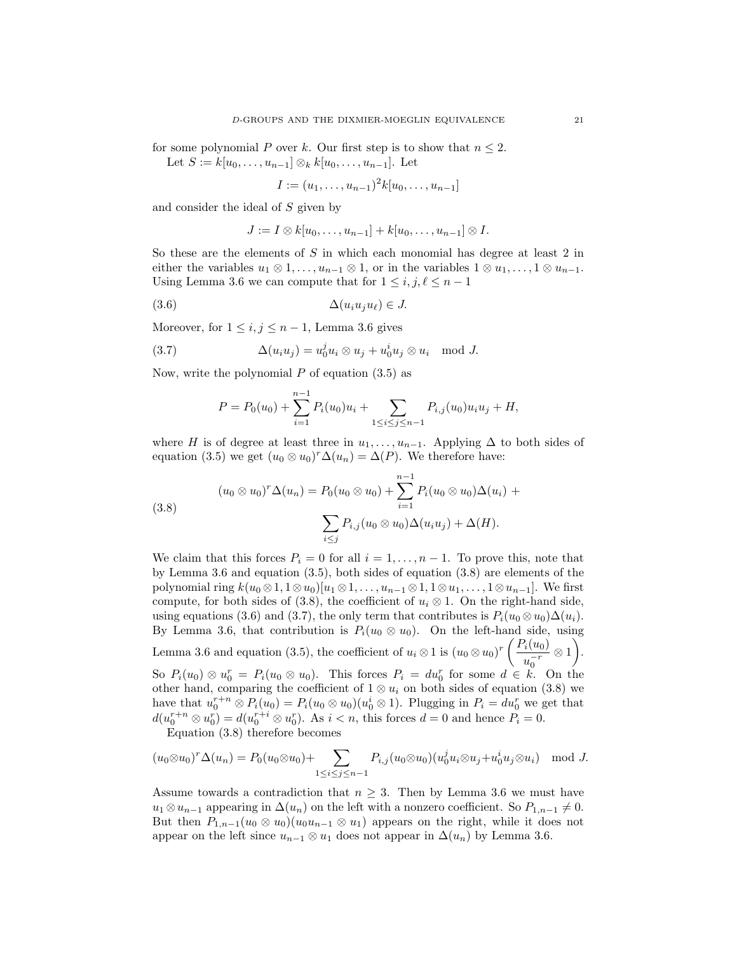for some polynomial P over k. Our first step is to show that  $n \leq 2$ . Let  $S := k[u_0, \ldots, u_{n-1}] \otimes_k k[u_0, \ldots, u_{n-1}]$ . Let

$$
I := (u_1, \ldots, u_{n-1})^2 k [u_0, \ldots, u_{n-1}]
$$

and consider the ideal of S given by

$$
J:=I\otimes k[u_0,\ldots,u_{n-1}]+k[u_0,\ldots,u_{n-1}]\otimes I.
$$

So these are the elements of  $S$  in which each monomial has degree at least 2 in either the variables  $u_1 \otimes 1, \ldots, u_{n-1} \otimes 1$ , or in the variables  $1 \otimes u_1, \ldots, 1 \otimes u_{n-1}$ . Using Lemma 3.6 we can compute that for  $1 \leq i, j, \ell \leq n - 1$ 

$$
(3.6) \qquad \Delta(u_i u_j u_\ell) \in J.
$$

Moreover, for  $1 \leq i, j \leq n-1$ , Lemma 3.6 gives

(3.7) 
$$
\Delta(u_i u_j) = u_0^j u_i \otimes u_j + u_0^i u_j \otimes u_i \mod J.
$$

Now, write the polynomial  $P$  of equation  $(3.5)$  as

$$
P = P_0(u_0) + \sum_{i=1}^{n-1} P_i(u_0)u_i + \sum_{1 \le i \le j \le n-1} P_{i,j}(u_0)u_iu_j + H,
$$

where H is of degree at least three in  $u_1, \ldots, u_{n-1}$ . Applying  $\Delta$  to both sides of equation (3.5) we get  $(u_0 \otimes u_0)^r \Delta(u_n) = \Delta(P)$ . We therefore have:

(3.8) 
$$
(u_0 \otimes u_0)^r \Delta(u_n) = P_0(u_0 \otimes u_0) + \sum_{i=1}^{n-1} P_i(u_0 \otimes u_0) \Delta(u_i) + \sum_{i \le j} P_{i,j}(u_0 \otimes u_0) \Delta(u_i u_j) + \Delta(H).
$$

We claim that this forces  $P_i = 0$  for all  $i = 1, \ldots, n-1$ . To prove this, note that by Lemma 3.6 and equation (3.5), both sides of equation (3.8) are elements of the polynomial ring  $k(u_0 \otimes 1, 1 \otimes u_0)[u_1 \otimes 1, \ldots, u_{n-1} \otimes 1, 1 \otimes u_1, \ldots, 1 \otimes u_{n-1}].$  We first compute, for both sides of (3.8), the coefficient of  $u_i \otimes 1$ . On the right-hand side, using equations (3.6) and (3.7), the only term that contributes is  $P_i(u_0 \otimes u_0)\Delta(u_i)$ . By Lemma 3.6, that contribution is  $P_i(u_0 \otimes u_0)$ . On the left-hand side, using Lemma 3.6 and equation (3.5), the coefficient of  $u_i \otimes 1$  is  $(u_0 \otimes u_0)^r \left( \frac{P_i(u_0)}{-r} \right)$  $u_0^{-r}$  $\otimes$  1). So  $P_i(u_0) \otimes u_0^r = P_i(u_0 \otimes u_0)$ . This forces  $P_i = du_0^r$  for some  $d \in k$ . On the other hand, comparing the coefficient of  $1 \otimes u_i$  on both sides of equation (3.8) we have that  $u_0^{r+n} \otimes P_i(u_0) = P_i(u_0 \otimes u_0)(u_0^i \otimes 1)$ . Plugging in  $P_i = du_0^r$  we get that  $d(u_0^{r+n} \otimes u_0^r) = d(u_0^{r+i} \otimes u_0^r)$ . As  $i < n$ , this forces  $d = 0$  and hence  $P_i = 0$ .

Equation (3.8) therefore becomes

$$
(u_0 \otimes u_0)^r \Delta(u_n) = P_0(u_0 \otimes u_0) + \sum_{1 \le i \le j \le n-1} P_{i,j}(u_0 \otimes u_0) (u_0^j u_i \otimes u_j + u_0^i u_j \otimes u_i) \mod J.
$$

Assume towards a contradiction that  $n \geq 3$ . Then by Lemma 3.6 we must have  $u_1 \otimes u_{n-1}$  appearing in  $\Delta(u_n)$  on the left with a nonzero coefficient. So  $P_{1,n-1} \neq 0$ . But then  $P_{1,n-1}(u_0 \otimes u_0)(u_0u_{n-1} \otimes u_1)$  appears on the right, while it does not appear on the left since  $u_{n-1} \otimes u_1$  does not appear in  $\Delta(u_n)$  by Lemma 3.6.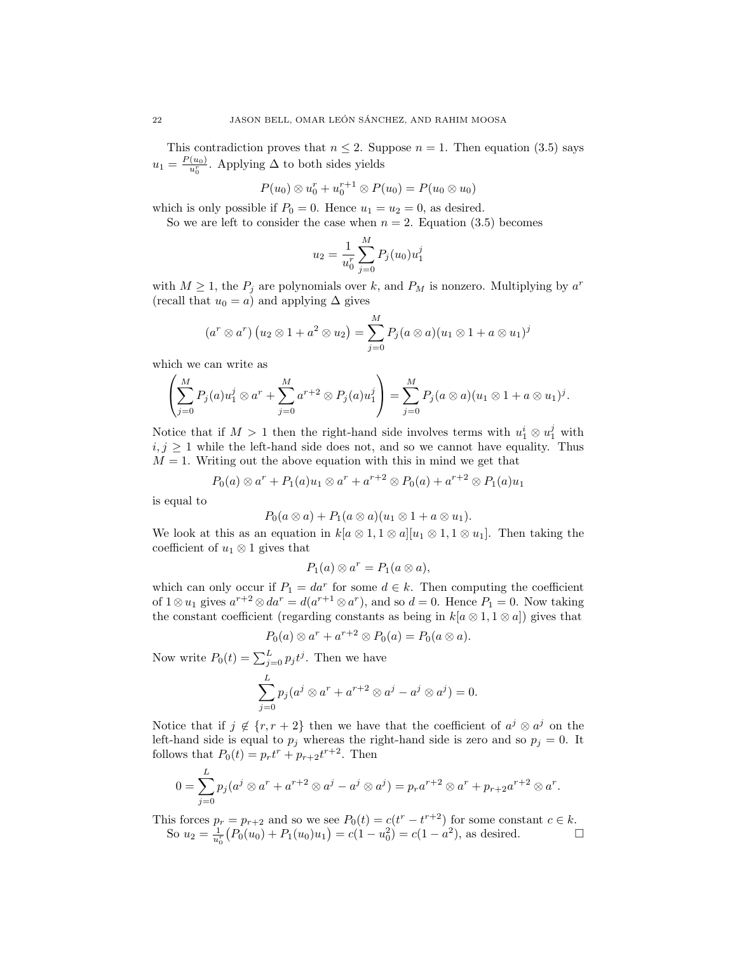This contradiction proves that  $n \leq 2$ . Suppose  $n = 1$ . Then equation (3.5) says  $u_1 = \frac{P(u_0)}{u_0^r}$ . Applying  $\Delta$  to both sides yields

$$
P(u_0)\otimes u_0^r+u_0^{r+1}\otimes P(u_0)=P(u_0\otimes u_0)
$$

which is only possible if  $P_0 = 0$ . Hence  $u_1 = u_2 = 0$ , as desired.

So we are left to consider the case when  $n = 2$ . Equation (3.5) becomes

$$
u_2 = \frac{1}{u_0^r} \sum_{j=0}^{M} P_j(u_0) u_1^j
$$

with  $M \geq 1$ , the  $P_j$  are polynomials over k, and  $P_M$  is nonzero. Multiplying by  $a^r$ (recall that  $u_0 = a$ ) and applying  $\Delta$  gives

$$
(a^r \otimes a^r) (u_2 \otimes 1 + a^2 \otimes u_2) = \sum_{j=0}^M P_j (a \otimes a) (u_1 \otimes 1 + a \otimes u_1)^j
$$

which we can write as

$$
\left(\sum_{j=0}^{M} P_j(a) u_1^j \otimes a^r + \sum_{j=0}^{M} a^{r+2} \otimes P_j(a) u_1^j\right) = \sum_{j=0}^{M} P_j(a \otimes a) (u_1 \otimes 1 + a \otimes u_1)^j.
$$

Notice that if  $M > 1$  then the right-hand side involves terms with  $u_1^i \otimes u_1^j$  with  $i, j \geq 1$  while the left-hand side does not, and so we cannot have equality. Thus  $M = 1$ . Writing out the above equation with this in mind we get that

$$
P_0(a) \otimes a^r + P_1(a)u_1 \otimes a^r + a^{r+2} \otimes P_0(a) + a^{r+2} \otimes P_1(a)u_1
$$

is equal to

$$
P_0(a\otimes a)+P_1(a\otimes a)(u_1\otimes 1+a\otimes u_1).
$$

We look at this as an equation in  $k[a \otimes 1, 1 \otimes a][u_1 \otimes 1, 1 \otimes u_1]$ . Then taking the coefficient of  $u_1 \otimes 1$  gives that

$$
P_1(a) \otimes a^r = P_1(a \otimes a),
$$

which can only occur if  $P_1 = da^r$  for some  $d \in k$ . Then computing the coefficient of  $1 \otimes u_1$  gives  $a^{r+2} \otimes da^r = d(a^{r+1} \otimes a^r)$ , and so  $d = 0$ . Hence  $P_1 = 0$ . Now taking the constant coefficient (regarding constants as being in  $k[a \otimes 1, 1 \otimes a]$ ) gives that

$$
P_0(a) \otimes a^r + a^{r+2} \otimes P_0(a) = P_0(a \otimes a).
$$

Now write  $P_0(t) = \sum_{j=0}^{L} p_j t^j$ . Then we have

$$
\sum_{j=0}^{L} p_j (a^j \otimes a^r + a^{r+2} \otimes a^j - a^j \otimes a^j) = 0.
$$

Notice that if  $j \notin \{r, r+2\}$  then we have that the coefficient of  $a^j \otimes a^j$  on the left-hand side is equal to  $p_j$  whereas the right-hand side is zero and so  $p_j = 0$ . It follows that  $P_0(t) = p_r t^r + p_{r+2} t^{r+2}$ . Then

$$
0 = \sum_{j=0}^{L} p_j (a^j \otimes a^r + a^{r+2} \otimes a^j - a^j \otimes a^j) = p_r a^{r+2} \otimes a^r + p_{r+2} a^{r+2} \otimes a^r.
$$

This forces  $p_r = p_{r+2}$  and so we see  $P_0(t) = c(t^r - t^{r+2})$  for some constant  $c \in k$ . So  $u_2 = \frac{1}{u_0^r} (P_0(u_0) + P_1(u_0)u_1) = c(1 - u_0^2) = c(1 - a^2)$ , as desired.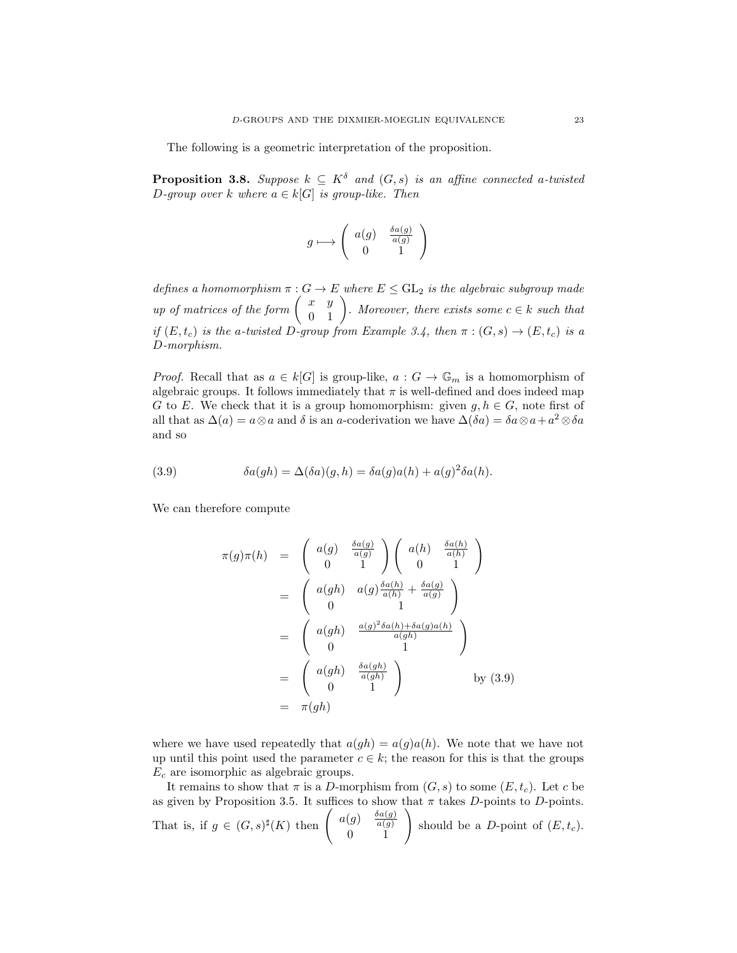The following is a geometric interpretation of the proposition.

**Proposition 3.8.** Suppose  $k \subseteq K^{\delta}$  and  $(G, s)$  is an affine connected a-twisted D-group over k where  $a \in k[G]$  is group-like. Then

$$
g\longmapsto \left(\begin{array}{cc}a(g) & \frac{\delta a(g)}{a(g)}\\0&1\end{array}\right)
$$

defines a homomorphism  $\pi : G \to E$  where  $E \leq \mathrm{GL}_2$  is the algebraic subgroup made up of matrices of the form  $\begin{pmatrix} x & y \\ 0 & 1 \end{pmatrix}$ . Moreover, there exists some  $c \in k$  such that if  $(E, t_c)$  is the a-twisted D-group from Example 3.4, then  $\pi : (G, s) \to (E, t_c)$  is a D-morphism.

*Proof.* Recall that as  $a \in k[G]$  is group-like,  $a: G \to \mathbb{G}_m$  is a homomorphism of algebraic groups. It follows immediately that  $\pi$  is well-defined and does indeed map G to E. We check that it is a group homomorphism: given  $q, h \in G$ , note first of all that as  $\Delta(a) = a \otimes a$  and  $\delta$  is an a-coderivation we have  $\Delta(\delta a) = \delta a \otimes a + a^2 \otimes \delta a$ and so

(3.9) 
$$
\delta a(gh) = \Delta(\delta a)(g, h) = \delta a(g)a(h) + a(g)^2 \delta a(h).
$$

We can therefore compute

$$
\pi(g)\pi(h) = \begin{pmatrix} a(g) & \frac{\delta a(g)}{a(g)} \\ 0 & 1 \end{pmatrix} \begin{pmatrix} a(h) & \frac{\delta a(h)}{a(h)} \\ 0 & 1 \end{pmatrix}
$$
  
\n
$$
= \begin{pmatrix} a(gh) & a(g)\frac{\delta a(h)}{a(h)} + \frac{\delta a(g)}{a(g)} \\ 0 & 1 \end{pmatrix}
$$
  
\n
$$
= \begin{pmatrix} a(gh) & \frac{a(g)^2 \delta a(h) + \delta a(g)a(h)}{a(gh)} \\ 0 & 1 \end{pmatrix}
$$
  
\n
$$
= \begin{pmatrix} a(gh) & \frac{\delta a(gh)}{a(gh)} \\ 0 & 1 \end{pmatrix} \qquad \text{by (3.9)}
$$
  
\n
$$
= \pi(gh)
$$

where we have used repeatedly that  $a(qh) = a(q)a(h)$ . We note that we have not up until this point used the parameter  $c \in k$ ; the reason for this is that the groups  $E_c$  are isomorphic as algebraic groups.

It remains to show that  $\pi$  is a D-morphism from  $(G, s)$  to some  $(E, t_c)$ . Let c be as given by Proposition 3.5. It suffices to show that  $\pi$  takes D-points to D-points. That is, if  $g \in (G, s)^{\sharp}(K)$  then  $\begin{pmatrix} a(g) & \frac{\delta a(g)}{a(g)} \end{pmatrix}$  $a(g)$  $(g) \begin{pmatrix} \frac{\delta a(g)}{a(g)} \\ 0 \end{pmatrix}$  should be a *D*-point of  $(E, t_c)$ .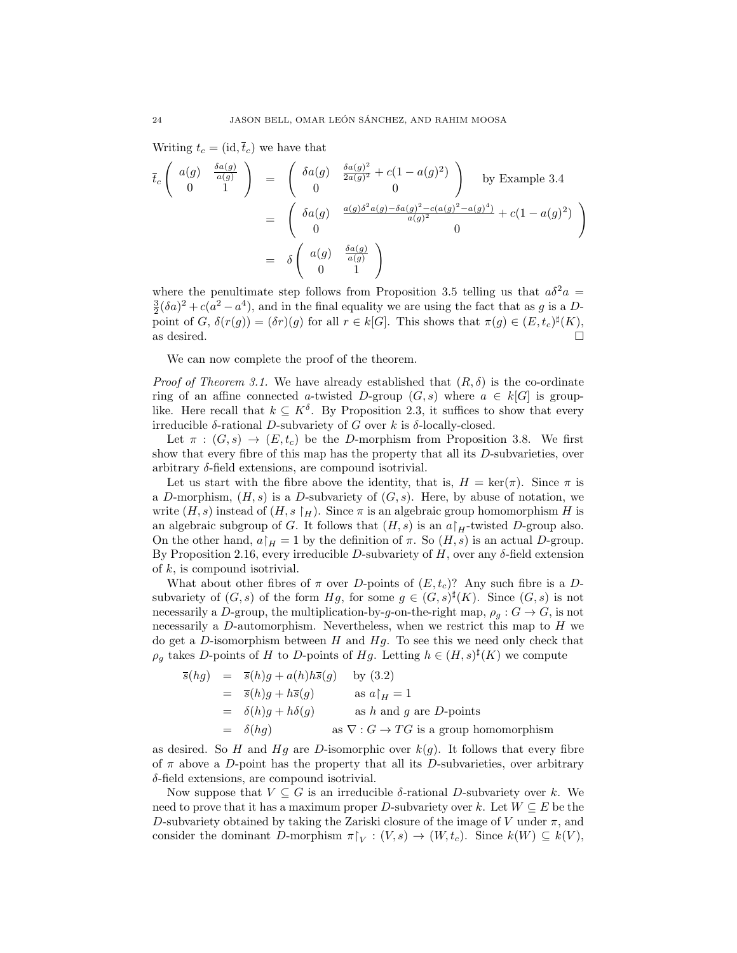Writing  $t_c = (\mathrm{id}, \bar{t}_c)$  we have that

$$
\overline{t}_c \begin{pmatrix} a(g) & \frac{\delta a(g)}{a(g)} \\ 0 & 1 \end{pmatrix} = \begin{pmatrix} \delta a(g) & \frac{\delta a(g)^2}{2a(g)^2} + c(1 - a(g)^2) \\ 0 & 0 \end{pmatrix} \text{ by Example 3.4}
$$

$$
= \begin{pmatrix} \delta a(g) & \frac{a(g)\delta^2 a(g) - \delta a(g)^2 - c(a(g)^2 - a(g)^4)}{a(g)^2} + c(1 - a(g)^2) \\ 0 & 0 \end{pmatrix}
$$

$$
= \delta \begin{pmatrix} a(g) & \frac{\delta a(g)}{a(g)} \\ 0 & 1 \end{pmatrix}
$$

where the penultimate step follows from Proposition 3.5 telling us that  $a\delta^2 a =$  $\frac{3}{2}(\delta a)^2 + c(a^2 - a^4)$ , and in the final equality we are using the fact that as g is a Dpoint of G,  $\delta(r(g)) = (\delta r)(g)$  for all  $r \in k[G]$ . This shows that  $\pi(g) \in (E, t_c)^{\sharp}(K)$ , as desired.  $\Box$ 

We can now complete the proof of the theorem.

*Proof of Theorem 3.1.* We have already established that  $(R, \delta)$  is the co-ordinate ring of an affine connected a-twisted D-group  $(G, s)$  where  $a \in k[G]$  is grouplike. Here recall that  $k \subseteq K^{\delta}$ . By Proposition 2.3, it suffices to show that every irreducible  $\delta$ -rational D-subvariety of G over k is  $\delta$ -locally-closed.

Let  $\pi : (G, s) \to (E, t_c)$  be the D-morphism from Proposition 3.8. We first show that every fibre of this map has the property that all its D-subvarieties, over arbitrary  $\delta$ -field extensions, are compound isotrivial.

Let us start with the fibre above the identity, that is,  $H = \text{ker}(\pi)$ . Since  $\pi$  is a D-morphism,  $(H, s)$  is a D-subvariety of  $(G, s)$ . Here, by abuse of notation, we write  $(H, s)$  instead of  $(H, s \nvert_H)$ . Since  $\pi$  is an algebraic group homomorphism H is an algebraic subgroup of G. It follows that  $(H, s)$  is an  $a|_H$ -twisted D-group also. On the other hand,  $a|_H = 1$  by the definition of  $\pi$ . So  $(H, s)$  is an actual D-group. By Proposition 2.16, every irreducible D-subvariety of  $H$ , over any  $\delta$ -field extension of  $k$ , is compound isotrivial.

What about other fibres of  $\pi$  over D-points of  $(E, t_c)$ ? Any such fibre is a Dsubvariety of  $(G, s)$  of the form  $Hg$ , for some  $g \in (G, s)^{\sharp}(K)$ . Since  $(G, s)$  is not necessarily a D-group, the multiplication-by-g-on-the-right map,  $\rho_q : G \to G$ , is not necessarily a D-automorphism. Nevertheless, when we restrict this map to  $H$  we do get a D-isomorphism between  $H$  and  $Hg$ . To see this we need only check that  $\rho_g$  takes D-points of H to D-points of Hg. Letting  $h \in (H, s)^\sharp(K)$  we compute

$$
\overline{s}(hg) = \overline{s}(h)g + a(h)h\overline{s}(g) \quad \text{by (3.2)}
$$
  
\n
$$
= \overline{s}(h)g + h\overline{s}(g) \quad \text{as } a|_H = 1
$$
  
\n
$$
= \delta(h)g + h\delta(g) \quad \text{as } h \text{ and } g \text{ are } D\text{-points}
$$
  
\n
$$
= \delta(h)g \quad \text{as } \nabla : G \to TG \text{ is a group homomorphism}
$$

as desired. So H and Hg are D-isomorphic over  $k(g)$ . It follows that every fibre of  $\pi$  above a D-point has the property that all its D-subvarieties, over arbitrary δ-field extensions, are compound isotrivial.

Now suppose that  $V \subseteq G$  is an irreducible  $\delta$ -rational D-subvariety over k. We need to prove that it has a maximum proper D-subvariety over k. Let  $W \subseteq E$  be the D-subvariety obtained by taking the Zariski closure of the image of V under  $\pi$ , and consider the dominant D-morphism  $\pi|_V : (V, s) \to (W, t_c)$ . Since  $k(W) \subseteq k(V)$ ,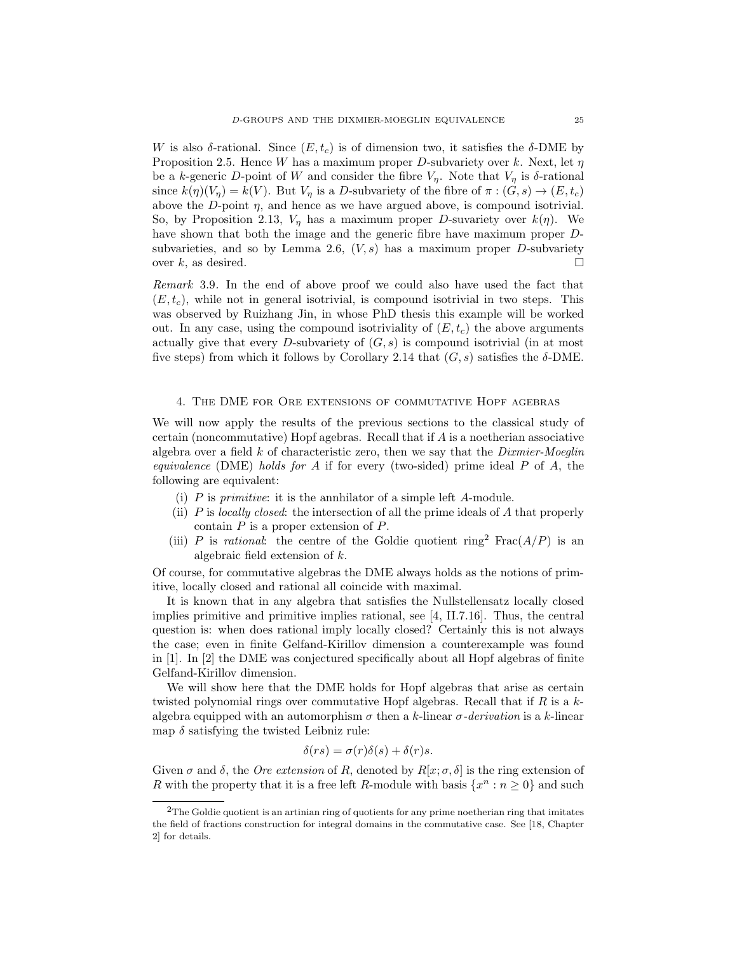W is also  $\delta$ -rational. Since  $(E, t_c)$  is of dimension two, it satisfies the  $\delta$ -DME by Proposition 2.5. Hence W has a maximum proper D-subvariety over k. Next, let  $\eta$ be a k-generic D-point of W and consider the fibre  $V_n$ . Note that  $V_n$  is  $\delta$ -rational since  $k(\eta)(V_{\eta}) = k(V)$ . But  $V_{\eta}$  is a D-subvariety of the fibre of  $\pi : (G, s) \to (E, t_c)$ above the D-point  $\eta$ , and hence as we have argued above, is compound isotrivial. So, by Proposition 2.13,  $V_{\eta}$  has a maximum proper D-suvariety over  $k(\eta)$ . We have shown that both the image and the generic fibre have maximum proper Dsubvarieties, and so by Lemma 2.6,  $(V, s)$  has a maximum proper D-subvariety over k, as desired.  $\square$ 

Remark 3.9. In the end of above proof we could also have used the fact that  $(E, t_c)$ , while not in general isotrivial, is compound isotrivial in two steps. This was observed by Ruizhang Jin, in whose PhD thesis this example will be worked out. In any case, using the compound isotriviality of  $(E, t_c)$  the above arguments actually give that every D-subvariety of  $(G, s)$  is compound isotrivial (in at most five steps) from which it follows by Corollary 2.14 that  $(G, s)$  satisfies the  $\delta$ -DME.

## 4. The DME for Ore extensions of commutative Hopf agebras

We will now apply the results of the previous sections to the classical study of certain (noncommutative) Hopf agebras. Recall that if A is a noetherian associative algebra over a field  $k$  of characteristic zero, then we say that the *Dixmier-Moeglin* equivalence (DME) holds for A if for every (two-sided) prime ideal  $P$  of A, the following are equivalent:

- (i)  $P$  is *primitive*: it is the annihilator of a simple left  $A$ -module.
- (ii)  $P$  is *locally closed*: the intersection of all the prime ideals of  $A$  that properly contain  $P$  is a proper extension of  $P$ .
- (iii) P is rational: the centre of the Goldie quotient ring<sup>2</sup> Frac $(A/P)$  is an algebraic field extension of k.

Of course, for commutative algebras the DME always holds as the notions of primitive, locally closed and rational all coincide with maximal.

It is known that in any algebra that satisfies the Nullstellensatz locally closed implies primitive and primitive implies rational, see [4, II.7.16]. Thus, the central question is: when does rational imply locally closed? Certainly this is not always the case; even in finite Gelfand-Kirillov dimension a counterexample was found in [1]. In [2] the DME was conjectured specifically about all Hopf algebras of finite Gelfand-Kirillov dimension.

We will show here that the DME holds for Hopf algebras that arise as certain twisted polynomial rings over commutative Hopf algebras. Recall that if  $R$  is a  $k$ algebra equipped with an automorphism  $\sigma$  then a k-linear  $\sigma$ -derivation is a k-linear map  $\delta$  satisfying the twisted Leibniz rule:

$$
\delta(rs) = \sigma(r)\delta(s) + \delta(r)s.
$$

Given  $\sigma$  and  $\delta$ , the *Ore extension* of R, denoted by  $R[x; \sigma, \delta]$  is the ring extension of R with the property that it is a free left R-module with basis  $\{x^n : n \geq 0\}$  and such

 $2$ The Goldie quotient is an artinian ring of quotients for any prime noetherian ring that imitates the field of fractions construction for integral domains in the commutative case. See [18, Chapter 2] for details.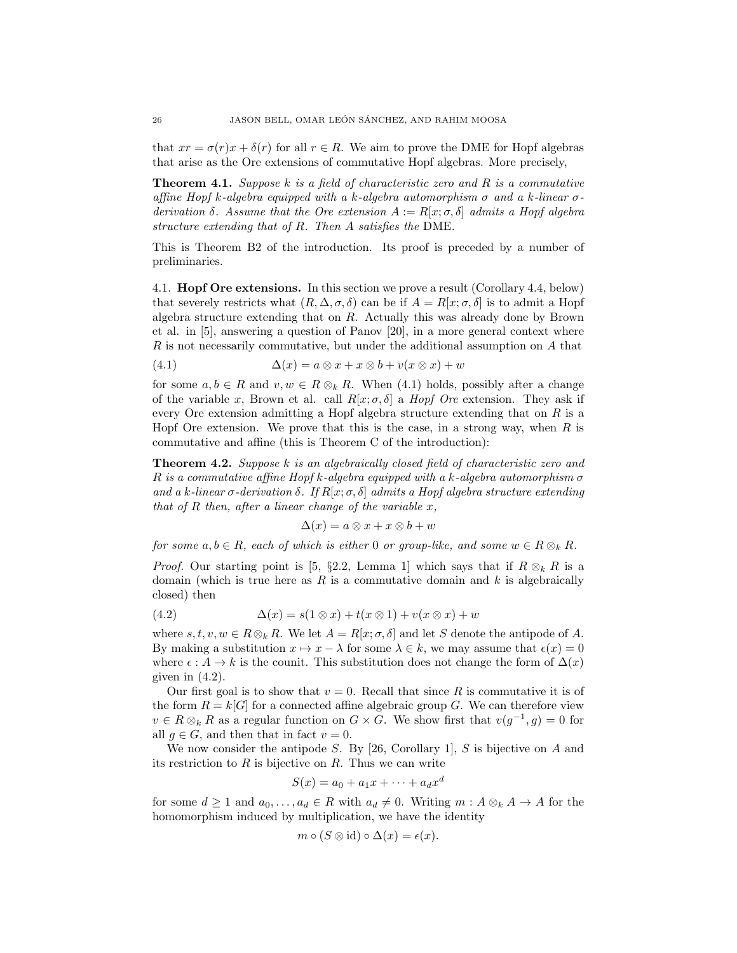that  $xr = \sigma(r)x + \delta(r)$  for all  $r \in R$ . We aim to prove the DME for Hopf algebras that arise as the Ore extensions of commutative Hopf algebras. More precisely,

**Theorem 4.1.** Suppose k is a field of characteristic zero and R is a commutative affine Hopf k-algebra equipped with a k-algebra automorphism  $\sigma$  and a k-linear  $\sigma$ derivation  $\delta$ . Assume that the Ore extension  $A := R[x; \sigma, \delta]$  admits a Hopf algebra structure extending that of R. Then A satisfies the DME.

This is Theorem B2 of the introduction. Its proof is preceded by a number of preliminaries.

4.1. **Hopf Ore extensions.** In this section we prove a result (Corollary 4.4, below) that severely restricts what  $(R, \Delta, \sigma, \delta)$  can be if  $A = R[x; \sigma, \delta]$  is to admit a Hopf algebra structure extending that on  $R$ . Actually this was already done by Brown et al. in [5], answering a question of Panov [20], in a more general context where R is not necessarily commutative, but under the additional assumption on A that

(4.1) 
$$
\Delta(x) = a \otimes x + x \otimes b + v(x \otimes x) + w
$$

for some  $a, b \in R$  and  $v, w \in R \otimes_k R$ . When (4.1) holds, possibly after a change of the variable x, Brown et al. call  $R[x; \sigma, \delta]$  a *Hopf Ore* extension. They ask if every Ore extension admitting a Hopf algebra structure extending that on  $R$  is a Hopf Ore extension. We prove that this is the case, in a strong way, when  $R$  is commutative and affine (this is Theorem C of the introduction):

**Theorem 4.2.** Suppose k is an algebraically closed field of characteristic zero and R is a commutative affine Hopf k-algebra equipped with a k-algebra automorphism  $\sigma$ and a k-linear  $\sigma$ -derivation  $\delta$ . If  $R[x; \sigma, \delta]$  admits a Hopf algebra structure extending that of  $R$  then, after a linear change of the variable  $x$ ,

$$
\Delta(x) = a \otimes x + x \otimes b + w
$$

for some  $a, b \in R$ , each of which is either 0 or group-like, and some  $w \in R \otimes_k R$ .

*Proof.* Our starting point is [5, §2.2, Lemma 1] which says that if  $R \otimes_k R$  is a domain (which is true here as  $R$  is a commutative domain and  $k$  is algebraically closed) then

(4.2) 
$$
\Delta(x) = s(1 \otimes x) + t(x \otimes 1) + v(x \otimes x) + w
$$

where  $s, t, v, w \in R \otimes_k R$ . We let  $A = R[x; \sigma, \delta]$  and let S denote the antipode of A. By making a substitution  $x \mapsto x - \lambda$  for some  $\lambda \in k$ , we may assume that  $\epsilon(x) = 0$ where  $\epsilon : A \to k$  is the counit. This substitution does not change the form of  $\Delta(x)$ given in  $(4.2)$ .

Our first goal is to show that  $v = 0$ . Recall that since R is commutative it is of the form  $R = k[G]$  for a connected affine algebraic group G. We can therefore view  $v \in R \otimes_k R$  as a regular function on  $G \times G$ . We show first that  $v(g^{-1}, g) = 0$  for all  $g \in G$ , and then that in fact  $v = 0$ .

We now consider the antipode  $S$ . By [26, Corollary 1],  $S$  is bijective on  $A$  and its restriction to  $R$  is bijective on  $R$ . Thus we can write

$$
S(x) = a_0 + a_1x + \dots + a_dx^d
$$

for some  $d \geq 1$  and  $a_0, \ldots, a_d \in R$  with  $a_d \neq 0$ . Writing  $m : A \otimes_k A \to A$  for the homomorphism induced by multiplication, we have the identity

$$
m \circ (S \otimes id) \circ \Delta(x) = \epsilon(x).
$$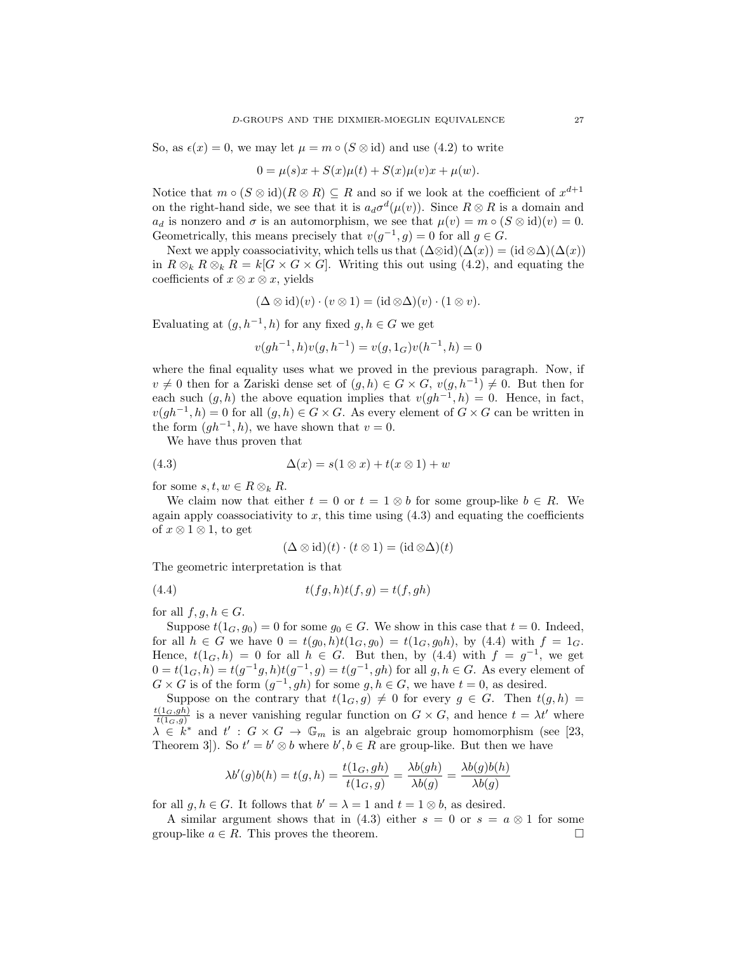So, as  $\epsilon(x) = 0$ , we may let  $\mu = m \circ (S \otimes id)$  and use (4.2) to write

$$
0 = \mu(s)x + S(x)\mu(t) + S(x)\mu(v)x + \mu(w).
$$

Notice that  $m \circ (S \otimes id)(R \otimes R) \subseteq R$  and so if we look at the coefficient of  $x^{d+1}$ on the right-hand side, we see that it is  $a_d\sigma^d(\mu(v))$ . Since  $R \otimes R$  is a domain and  $a_d$  is nonzero and  $\sigma$  is an automorphism, we see that  $\mu(v) = m \circ (S \otimes id)(v) = 0$ . Geometrically, this means precisely that  $v(g^{-1}, g) = 0$  for all  $g \in G$ .

Next we apply coassociativity, which tells us that  $(\Delta \otimes id)(\Delta(x)) = (id \otimes \Delta)(\Delta(x))$ in  $R \otimes_k R \otimes_k R = k[G \times G \times G]$ . Writing this out using (4.2), and equating the coefficients of  $x \otimes x \otimes x$ , yields

$$
(\Delta \otimes id)(v) \cdot (v \otimes 1) = (id \otimes \Delta)(v) \cdot (1 \otimes v).
$$

Evaluating at  $(g, h^{-1}, h)$  for any fixed  $g, h \in G$  we get

$$
v(gh^{-1},h)v(g,h^{-1}) = v(g,1_G)v(h^{-1},h) = 0
$$

where the final equality uses what we proved in the previous paragraph. Now, if  $v \neq 0$  then for a Zariski dense set of  $(g, h) \in G \times G$ ,  $v(g, h^{-1}) \neq 0$ . But then for each such  $(g, h)$  the above equation implies that  $v(gh^{-1}, h) = 0$ . Hence, in fact,  $v(gh^{-1}, h) = 0$  for all  $(g, h) \in G \times G$ . As every element of  $G \times G$  can be written in the form  $(gh^{-1}, h)$ , we have shown that  $v = 0$ .

We have thus proven that

$$
(4.3) \qquad \Delta(x) = s(1 \otimes x) + t(x \otimes 1) + w
$$

for some  $s, t, w \in R \otimes_k R$ .

We claim now that either  $t = 0$  or  $t = 1 \otimes b$  for some group-like  $b \in R$ . We again apply coassociativity to  $x$ , this time using  $(4.3)$  and equating the coefficients of  $x \otimes 1 \otimes 1$ , to get

$$
(\Delta \otimes id)(t) \cdot (t \otimes 1) = (id \otimes \Delta)(t)
$$

The geometric interpretation is that

$$
(4.4) \qquad \qquad t(fg,h)t(f,g) = t(f,gh)
$$

for all  $f, g, h \in G$ .

Suppose  $t(1_G, g_0) = 0$  for some  $g_0 \in G$ . We show in this case that  $t = 0$ . Indeed, for all  $h \in G$  we have  $0 = t(g_0, h)t(1_G, g_0) = t(1_G, g_0h)$ , by (4.4) with  $f = 1_G$ . Hence,  $t(1_G, h) = 0$  for all  $h \in G$ . But then, by (4.4) with  $f = g^{-1}$ , we get  $0 = t(1_G, h) = t(g^{-1}g, h)t(g^{-1}, g) = t(g^{-1}, gh)$  for all  $g, h \in G$ . As every element of  $G \times G$  is of the form  $(g^{-1}, gh)$  for some  $g, h \in G$ , we have  $t = 0$ , as desired.

Suppose on the contrary that  $t(1_G, g) \neq 0$  for every  $g \in G$ . Then  $t(g, h) =$  $t(1_G,gh)$  $\frac{(1_G,gh)}{t(1_G,g)}$  is a never vanishing regular function on  $G \times G$ , and hence  $t = \lambda t'$  where  $\lambda \in k^*$  and  $t' : G \times G \to \mathbb{G}_m$  is an algebraic group homomorphism (see [23, Theorem 3]). So  $t' = b' \otimes b$  where  $b', b \in R$  are group-like. But then we have

$$
\lambda b'(g)b(h) = t(g, h) = \frac{t(1_G, gh)}{t(1_G, g)} = \frac{\lambda b(gh)}{\lambda b(g)} = \frac{\lambda b(g)b(h)}{\lambda b(g)}
$$

for all  $g, h \in G$ . It follows that  $b' = \lambda = 1$  and  $t = 1 \otimes b$ , as desired.

A similar argument shows that in (4.3) either  $s = 0$  or  $s = a \otimes 1$  for some group-like  $a \in R$ . This proves the theorem.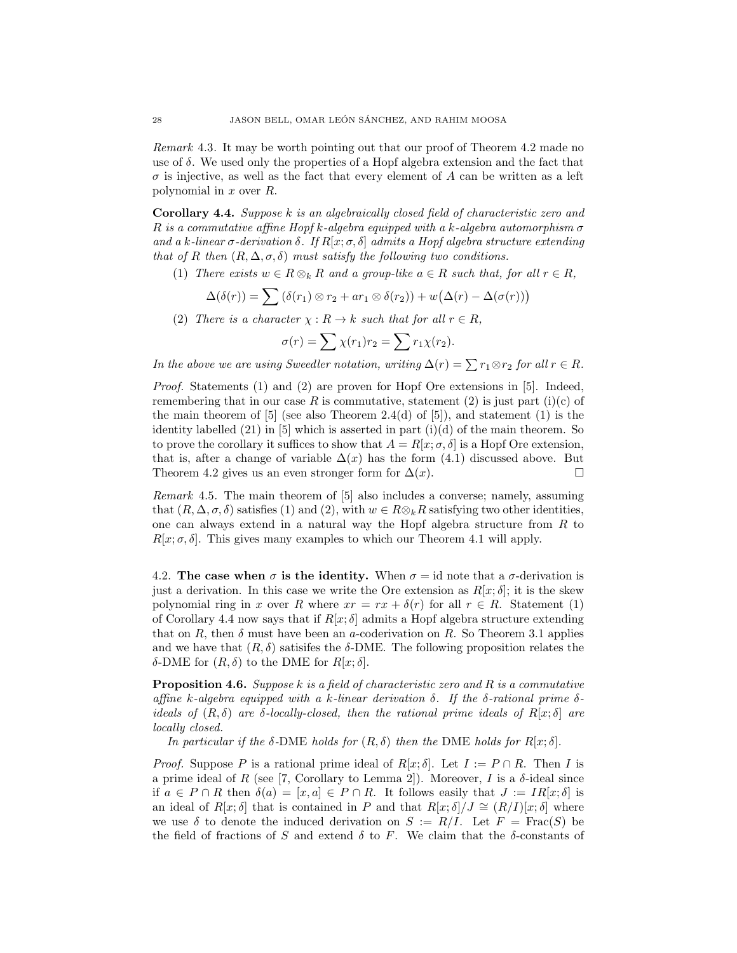Remark 4.3. It may be worth pointing out that our proof of Theorem 4.2 made no use of  $\delta$ . We used only the properties of a Hopf algebra extension and the fact that  $\sigma$  is injective, as well as the fact that every element of A can be written as a left polynomial in x over R.

Corollary 4.4. Suppose k is an algebraically closed field of characteristic zero and R is a commutative affine Hopf k-algebra equipped with a k-algebra automorphism  $\sigma$ and a k-linear  $\sigma$ -derivation  $\delta$ . If  $R[x; \sigma, \delta]$  admits a Hopf algebra structure extending that of R then  $(R, \Delta, \sigma, \delta)$  must satisfy the following two conditions.

(1) There exists  $w \in R \otimes_k R$  and a group-like  $a \in R$  such that, for all  $r \in R$ ,

$$
\Delta(\delta(r)) = \sum (\delta(r_1) \otimes r_2 + ar_1 \otimes \delta(r_2)) + w(\Delta(r) - \Delta(\sigma(r)))
$$

(2) There is a character  $\chi : R \to k$  such that for all  $r \in R$ ,

$$
\sigma(r) = \sum \chi(r_1)r_2 = \sum r_1\chi(r_2).
$$

In the above we are using Sweedler notation, writing  $\Delta(r) = \sum r_1 \otimes r_2$  for all  $r \in R$ .

Proof. Statements (1) and (2) are proven for Hopf Ore extensions in [5]. Indeed, remembering that in our case R is commutative, statement (2) is just part (i)(c) of the main theorem of  $[5]$  (see also Theorem 2.4(d) of  $[5]$ , and statement  $(1)$  is the identity labelled  $(21)$  in [5] which is asserted in part  $(i)(d)$  of the main theorem. So to prove the corollary it suffices to show that  $A = R[x; \sigma, \delta]$  is a Hopf Ore extension, that is, after a change of variable  $\Delta(x)$  has the form (4.1) discussed above. But Theorem 4.2 gives us an even stronger form for  $\Delta(x)$ .

Remark 4.5. The main theorem of [5] also includes a converse; namely, assuming that  $(R, \Delta, \sigma, \delta)$  satisfies (1) and (2), with  $w \in R \otimes_k R$  satisfying two other identities, one can always extend in a natural way the Hopf algebra structure from R to  $R[x; \sigma, \delta]$ . This gives many examples to which our Theorem 4.1 will apply.

4.2. The case when  $\sigma$  is the identity. When  $\sigma = id$  note that a  $\sigma$ -derivation is just a derivation. In this case we write the Ore extension as  $R[x;\delta]$ ; it is the skew polynomial ring in x over R where  $xr = rx + \delta(r)$  for all  $r \in R$ . Statement (1) of Corollary 4.4 now says that if  $R[x;\delta]$  admits a Hopf algebra structure extending that on R, then  $\delta$  must have been an a-coderivation on R. So Theorem 3.1 applies and we have that  $(R, \delta)$  satisifes the  $\delta$ -DME. The following proposition relates the δ-DME for  $(R, δ)$  to the DME for  $R[x; δ]$ .

**Proposition 4.6.** Suppose k is a field of characteristic zero and R is a commutative affine k-algebra equipped with a k-linear derivation  $\delta$ . If the  $\delta$ -rational prime  $\delta$ ideals of  $(R, \delta)$  are δ-locally-closed, then the rational prime ideals of  $R[x; \delta]$  are locally closed.

In particular if the  $\delta$ -DME holds for  $(R, \delta)$  then the DME holds for  $R[x; \delta]$ .

*Proof.* Suppose P is a rational prime ideal of  $R[x; \delta]$ . Let  $I := P \cap R$ . Then I is a prime ideal of R (see [7, Corollary to Lemma 2]). Moreover, I is a  $\delta$ -ideal since if  $a \in P \cap R$  then  $\delta(a) = [x, a] \in P \cap R$ . It follows easily that  $J := IR[x; \delta]$  is an ideal of  $R[x; \delta]$  that is contained in P and that  $R[x; \delta]/J \cong (R/I)[x; \delta]$  where we use  $\delta$  to denote the induced derivation on  $S := R/I$ . Let  $F = \text{Frac}(S)$  be the field of fractions of S and extend  $\delta$  to F. We claim that the  $\delta$ -constants of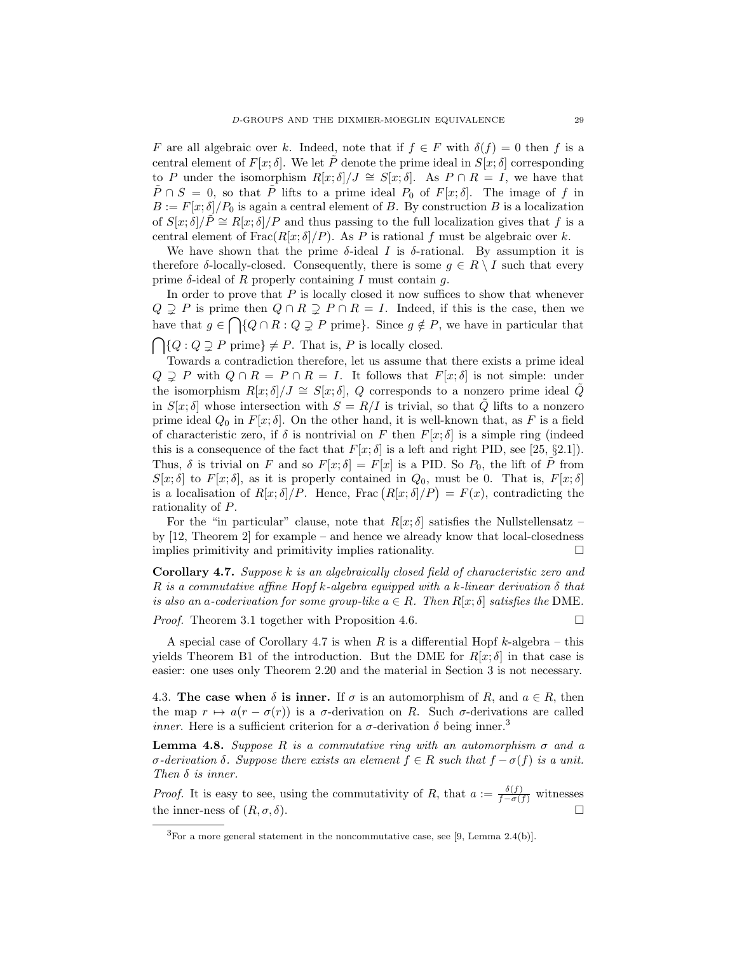F are all algebraic over k. Indeed, note that if  $f \in F$  with  $\delta(f) = 0$  then f is a central element of  $F[x; \delta]$ . We let  $\tilde{P}$  denote the prime ideal in  $S[x; \delta]$  corresponding to P under the isomorphism  $R[x; \delta]/J \cong S[x; \delta]$ . As  $P \cap R = I$ , we have that  $\tilde{P} \cap S = 0$ , so that  $\tilde{P}$  lifts to a prime ideal  $P_0$  of  $F[x; \delta]$ . The image of f in  $B := F[x; \delta]/P_0$  is again a central element of B. By construction B is a localization of  $S[x; \delta]/P \cong R[x; \delta]/P$  and thus passing to the full localization gives that f is a central element of  $Frac(R[x;\delta]/P)$ . As P is rational f must be algebraic over k.

We have shown that the prime  $\delta$ -ideal I is  $\delta$ -rational. By assumption it is therefore  $\delta$ -locally-closed. Consequently, there is some  $g \in R \setminus I$  such that every prime  $\delta$ -ideal of R properly containing I must contain q.

In order to prove that  $P$  is locally closed it now suffices to show that whenever  $Q \supseteq P$  is prime then  $Q \cap R \supseteq P \cap R = I$ . Indeed, if this is the case, then we have that  $g \in \bigcap \{Q \cap R : Q \supsetneq P \text{ prime}\}.$  Since  $g \notin P$ , we have in particular that  $\bigcap \{Q : Q \supsetneq P \text{ prime}\} \neq P.$  That is, P is locally closed.

Towards a contradiction therefore, let us assume that there exists a prime ideal  $Q \supsetneq P$  with  $Q \cap R = P \cap R = I$ . It follows that  $F[x; \delta]$  is not simple: under the isomorphism  $R[x; \delta]/J \cong S[x; \delta], Q$  corresponds to a nonzero prime ideal  $\tilde{Q}$ in  $S[x; \delta]$  whose intersection with  $S = R/I$  is trivial, so that  $\tilde{Q}$  lifts to a nonzero prime ideal  $Q_0$  in  $F[x; \delta]$ . On the other hand, it is well-known that, as F is a field of characteristic zero, if  $\delta$  is nontrivial on F then  $F[x; \delta]$  is a simple ring (indeed this is a consequence of the fact that  $F[x; \delta]$  is a left and right PID, see [25, §2.1]). Thus,  $\delta$  is trivial on F and so  $F[x; \delta] = F[x]$  is a PID. So  $P_0$ , the lift of  $\tilde{P}$  from  $S[x;\delta]$  to  $F[x;\delta]$ , as it is properly contained in  $Q_0$ , must be 0. That is,  $F[x;\delta]$ is a localisation of  $R[x; \delta]/P$ . Hence, Frac  $(R[x; \delta]/P) = F(x)$ , contradicting the rationality of P.

For the "in particular" clause, note that  $R[x; \delta]$  satisfies the Nullstellensatz – by [12, Theorem 2] for example – and hence we already know that local-closedness implies primitivity and primitivity implies rationality.

Corollary 4.7. Suppose k is an algebraically closed field of characteristic zero and R is a commutative affine Hopf k-algebra equipped with a k-linear derivation  $\delta$  that is also an a-coderivation for some group-like  $a \in R$ . Then  $R[x; \delta]$  satisfies the DME.

*Proof.* Theorem 3.1 together with Proposition 4.6.

A special case of Corollary 4.7 is when R is a differential Hopf  $k$ -algebra – this yields Theorem B1 of the introduction. But the DME for  $R[x; \delta]$  in that case is easier: one uses only Theorem 2.20 and the material in Section 3 is not necessary.

4.3. The case when  $\delta$  is inner. If  $\sigma$  is an automorphism of R, and  $a \in R$ , then the map  $r \mapsto a(r - \sigma(r))$  is a  $\sigma$ -derivation on R. Such  $\sigma$ -derivations are called *inner.* Here is a sufficient criterion for a  $\sigma$ -derivation  $\delta$  being inner.<sup>3</sup>

**Lemma 4.8.** Suppose R is a commutative ring with an automorphism  $\sigma$  and a  $σ$ -derivation δ. Suppose there exists an element  $f ∈ R$  such that  $f − σ(f)$  is a unit. Then  $\delta$  is inner.

*Proof.* It is easy to see, using the commutativity of R, that  $a := \frac{\delta(f)}{f - \sigma(f)}$  witnesses the inner-ness of  $(R, \sigma, \delta)$ .

 ${}^{3}$ For a more general statement in the noncommutative case, see [9, Lemma 2.4(b)].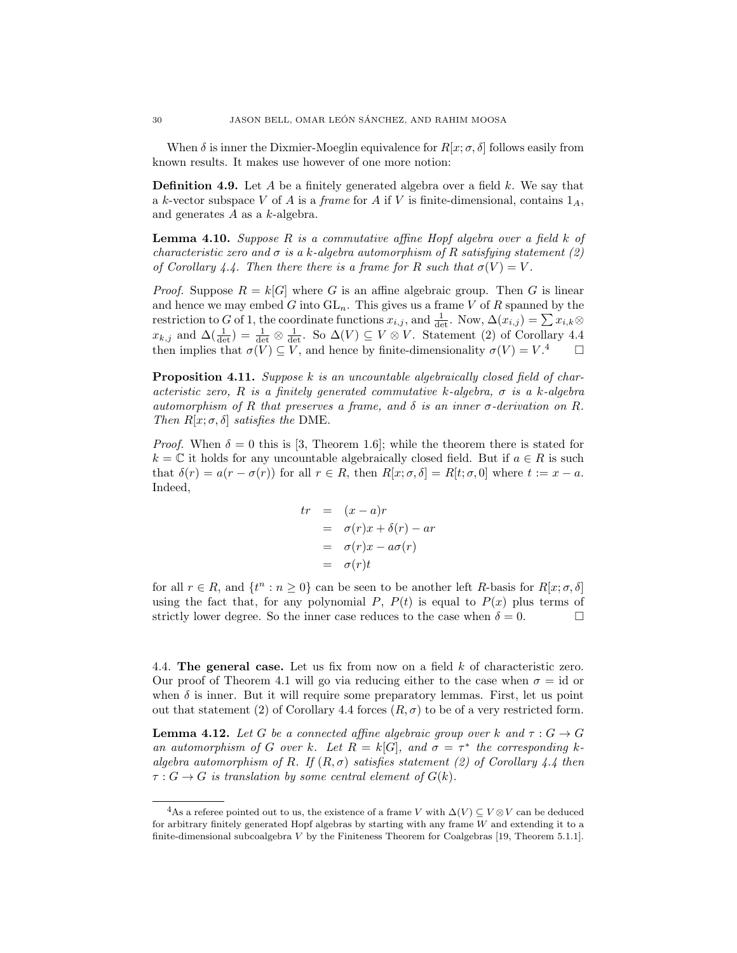When  $\delta$  is inner the Dixmier-Moeglin equivalence for  $R[x; \sigma, \delta]$  follows easily from known results. It makes use however of one more notion:

**Definition 4.9.** Let A be a finitely generated algebra over a field  $k$ . We say that a k-vector subspace V of A is a frame for A if V is finite-dimensional, contains  $1_A$ , and generates  $A$  as a  $k$ -algebra.

**Lemma 4.10.** Suppose  $R$  is a commutative affine Hopf algebra over a field  $k$  of characteristic zero and  $\sigma$  is a k-algebra automorphism of R satisfying statement (2) of Corollary 4.4. Then there there is a frame for R such that  $\sigma(V) = V$ .

*Proof.* Suppose  $R = k[G]$  where G is an affine algebraic group. Then G is linear and hence we may embed G into  $GL_n$ . This gives us a frame V of R spanned by the restriction to G of 1, the coordinate functions  $x_{i,j}$ , and  $\frac{1}{\det}$ . Now,  $\Delta(x_{i,j}) = \sum x_{i,k} \otimes$  $x_{k,j}$  and  $\Delta(\frac{1}{\det}) = \frac{1}{\det} \otimes \frac{1}{\det}$ . So  $\Delta(V) \subseteq V \otimes V$ . Statement (2) of Corollary 4.4 then implies that  $\sigma(V) \subseteq V$ , and hence by finite-dimensionality  $\sigma(V) = V$ .<sup>4</sup>  $\Box$ 

**Proposition 4.11.** Suppose  $k$  is an uncountable algebraically closed field of characteristic zero, R is a finitely generated commutative k-algebra,  $\sigma$  is a k-algebra automorphism of R that preserves a frame, and  $\delta$  is an inner  $\sigma$ -derivation on R. Then  $R[x; \sigma, \delta]$  satisfies the DME.

*Proof.* When  $\delta = 0$  this is [3, Theorem 1.6]; while the theorem there is stated for  $k = \mathbb{C}$  it holds for any uncountable algebraically closed field. But if  $a \in R$  is such that  $\delta(r) = a(r - \sigma(r))$  for all  $r \in R$ , then  $R[x; \sigma, \delta] = R[t; \sigma, 0]$  where  $t := x - a$ . Indeed,

$$
tr = (x - a)r
$$
  
=  $\sigma(r)x + \delta(r) - ar$   
=  $\sigma(r)x - a\sigma(r)$   
=  $\sigma(r)t$ 

for all  $r \in R$ , and  $\{t^n : n \geq 0\}$  can be seen to be another left R-basis for  $R[x; \sigma, \delta]$ using the fact that, for any polynomial P,  $P(t)$  is equal to  $P(x)$  plus terms of strictly lower degree. So the inner case reduces to the case when  $\delta = 0$ .

4.4. The general case. Let us fix from now on a field k of characteristic zero. Our proof of Theorem 4.1 will go via reducing either to the case when  $\sigma = id$  or when  $\delta$  is inner. But it will require some preparatory lemmas. First, let us point out that statement (2) of Corollary 4.4 forces  $(R, \sigma)$  to be of a very restricted form.

**Lemma 4.12.** Let G be a connected affine algebraic group over k and  $\tau : G \to G$ an automorphism of G over k. Let  $R = k[G]$ , and  $\sigma = \tau^*$  the corresponding kalgebra automorphism of R. If  $(R, \sigma)$  satisfies statement (2) of Corollary 4.4 then  $\tau: G \to G$  is translation by some central element of  $G(k)$ .

<sup>&</sup>lt;sup>4</sup>As a referee pointed out to us, the existence of a frame V with  $\Delta(V) \subseteq V \otimes V$  can be deduced for arbitrary finitely generated Hopf algebras by starting with any frame  $W$  and extending it to a finite-dimensional subcoalgebra  $V$  by the Finiteness Theorem for Coalgebras [19, Theorem 5.1.1].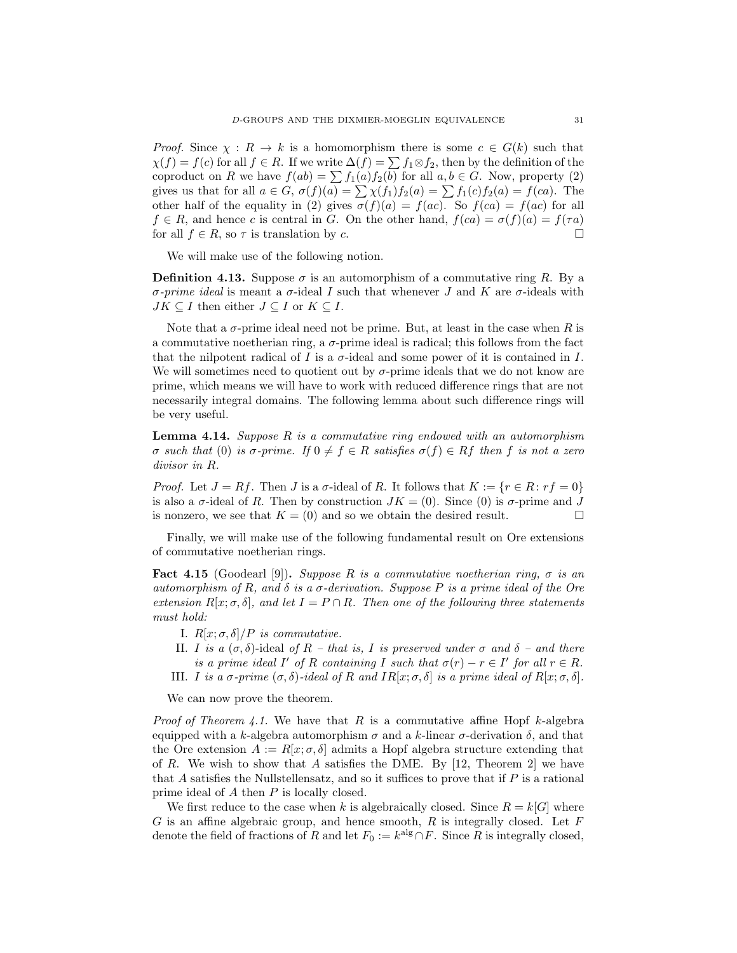*Proof.* Since  $\chi : R \to k$  is a homomorphism there is some  $c \in G(k)$  such that  $\chi(f) = f(c)$  for all  $f \in R$ . If we write  $\Delta(f) = \sum f_1 \otimes f_2$ , then by the definition of the coproduct on R we have  $f(ab) = \sum f_1(a)f_2(b)$  for all  $a, b \in G$ . Now, property (2) gives us that for all  $a \in G$ ,  $\sigma(f)(a) = \sum \chi(f_1)f_2(a) = \sum f_1(c)f_2(a) = f(ca)$ . The other half of the equality in (2) gives  $\sigma(f)(a) = f(ac)$ . So  $f(ca) = f(ac)$  for all  $f \in R$ , and hence c is central in G. On the other hand,  $f(ca) = \sigma(f)(a) = f(\tau a)$ for all  $f \in R$ , so  $\tau$  is translation by c.

We will make use of the following notion.

**Definition 4.13.** Suppose  $\sigma$  is an automorphism of a commutative ring R. By a σ-prime ideal is meant a σ-ideal I such that whenever J and K are σ-ideals with  $JK \subseteq I$  then either  $J \subseteq I$  or  $K \subseteq I$ .

Note that a  $\sigma$ -prime ideal need not be prime. But, at least in the case when R is a commutative noetherian ring, a  $\sigma$ -prime ideal is radical; this follows from the fact that the nilpotent radical of I is a  $\sigma$ -ideal and some power of it is contained in I. We will sometimes need to quotient out by  $\sigma$ -prime ideals that we do not know are prime, which means we will have to work with reduced difference rings that are not necessarily integral domains. The following lemma about such difference rings will be very useful.

**Lemma 4.14.** Suppose  $R$  is a commutative ring endowed with an automorphism σ such that (0) is σ-prime. If 0 ≠ f ∈ R satisfies  $σ(f) ∈ Rf$  then f is not a zero divisor in R.

*Proof.* Let  $J = Rf$ . Then J is a  $\sigma$ -ideal of R. It follows that  $K := \{r \in R : rf = 0\}$ is also a  $\sigma$ -ideal of R. Then by construction  $JK = (0)$ . Since  $(0)$  is  $\sigma$ -prime and J is nonzero, we see that  $K = (0)$  and so we obtain the desired result.

Finally, we will make use of the following fundamental result on Ore extensions of commutative noetherian rings.

**Fact 4.15** (Goodearl [9]). Suppose R is a commutative noetherian ring,  $\sigma$  is an automorphism of R, and  $\delta$  is a  $\sigma$ -derivation. Suppose P is a prime ideal of the Ore extension  $R[x; \sigma, \delta]$ , and let  $I = P \cap R$ . Then one of the following three statements must hold:

- I.  $R[x; \sigma, \delta]/P$  is commutative.
- II. I is a  $(\sigma, \delta)$ -ideal of R that is, I is preserved under  $\sigma$  and  $\delta$  and there is a prime ideal I' of R containing I such that  $\sigma(r) - r \in I'$  for all  $r \in R$ .
- III. *I* is a σ-prime  $(σ, δ)$ -ideal of R and  $IR[x; σ, δ]$  is a prime ideal of  $R[x; σ, δ]$ .

We can now prove the theorem.

*Proof of Theorem 4.1.* We have that R is a commutative affine Hopf k-algebra equipped with a k-algebra automorphism  $\sigma$  and a k-linear  $\sigma$ -derivation  $\delta$ , and that the Ore extension  $A := R[x; \sigma, \delta]$  admits a Hopf algebra structure extending that of R. We wish to show that A satisfies the DME. By  $[12,$  Theorem 2 we have that A satisfies the Nullstellensatz, and so it suffices to prove that if P is a rational prime ideal of A then P is locally closed.

We first reduce to the case when k is algebraically closed. Since  $R = k[G]$  where G is an affine algebraic group, and hence smooth,  $R$  is integrally closed. Let  $F$ denote the field of fractions of R and let  $F_0 := k^{\text{alg}} \cap F$ . Since R is integrally closed,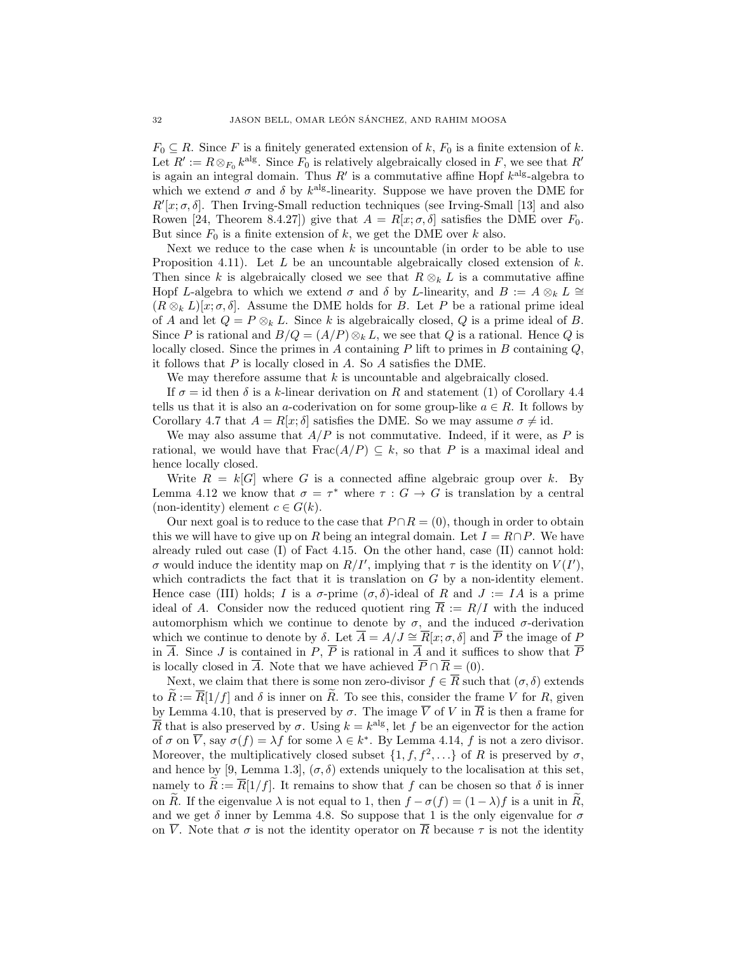$F_0 \subseteq R$ . Since F is a finitely generated extension of k,  $F_0$  is a finite extension of k. Let  $R' := R \otimes_{F_0} k^{\text{alg}}$ . Since  $F_0$  is relatively algebraically closed in F, we see that  $R'$ is again an integral domain. Thus  $R'$  is a commutative affine Hopf  $k^{\text{alg}}$ -algebra to which we extend  $\sigma$  and  $\delta$  by  $k^{\text{alg}}$ -linearity. Suppose we have proven the DME for  $R'[x; \sigma, \delta]$ . Then Irving-Small reduction techniques (see Irving-Small [13] and also Rowen [24, Theorem 8.4.27]) give that  $A = R[x; \sigma, \delta]$  satisfies the DME over  $F_0$ . But since  $F_0$  is a finite extension of k, we get the DME over k also.

Next we reduce to the case when  $k$  is uncountable (in order to be able to use Proposition 4.11). Let L be an uncountable algebraically closed extension of  $k$ . Then since k is algebraically closed we see that  $R \otimes_k L$  is a commutative affine Hopf L-algebra to which we extend  $\sigma$  and  $\delta$  by L-linearity, and  $B := A \otimes_k L \cong$  $(R \otimes_k L)[x; \sigma, \delta]$ . Assume the DME holds for B. Let P be a rational prime ideal of A and let  $Q = P \otimes_k L$ . Since k is algebraically closed, Q is a prime ideal of B. Since P is rational and  $B/Q = (A/P) \otimes_k L$ , we see that Q is a rational. Hence Q is locally closed. Since the primes in A containing  $P$  lift to primes in  $B$  containing  $Q$ , it follows that  $P$  is locally closed in  $A$ . So  $A$  satisfies the DME.

We may therefore assume that  $k$  is uncountable and algebraically closed.

If  $\sigma = id$  then  $\delta$  is a k-linear derivation on R and statement (1) of Corollary 4.4 tells us that it is also an a-coderivation on for some group-like  $a \in R$ . It follows by Corollary 4.7 that  $A = R[x; \delta]$  satisfies the DME. So we may assume  $\sigma \neq id$ .

We may also assume that  $A/P$  is not commutative. Indeed, if it were, as P is rational, we would have that  $Frac(A/P) \subseteq k$ , so that P is a maximal ideal and hence locally closed.

Write  $R = k[G]$  where G is a connected affine algebraic group over k. By Lemma 4.12 we know that  $\sigma = \tau^*$  where  $\tau : G \to G$  is translation by a central (non-identity) element  $c \in G(k)$ .

Our next goal is to reduce to the case that  $P \cap R = (0)$ , though in order to obtain this we will have to give up on R being an integral domain. Let  $I = R \cap P$ . We have already ruled out case (I) of Fact 4.15. On the other hand, case (II) cannot hold: σ would induce the identity map on  $R/I'$ , implying that τ is the identity on  $V(I')$ , which contradicts the fact that it is translation on  $G$  by a non-identity element. Hence case (III) holds; I is a  $\sigma$ -prime  $(\sigma, \delta)$ -ideal of R and  $J := IA$  is a prime ideal of A. Consider now the reduced quotient ring  $\overline{R} := R/I$  with the induced automorphism which we continue to denote by  $\sigma$ , and the induced  $\sigma$ -derivation which we continue to denote by  $\delta$ . Let  $\overline{A} = A/J \cong \overline{R}[x; \sigma, \delta]$  and  $\overline{P}$  the image of P in  $\overline{A}$ . Since J is contained in P,  $\overline{P}$  is rational in  $\overline{A}$  and it suffices to show that  $\overline{P}$ is locally closed in  $\overline{A}$ . Note that we have achieved  $\overline{P} \cap \overline{R} = (0)$ .

Next, we claim that there is some non zero-divisor  $f \in \overline{R}$  such that  $(\sigma, \delta)$  extends to  $\widetilde{R} := \overline{R}[1/f]$  and  $\delta$  is inner on  $\widetilde{R}$ . To see this, consider the frame V for R, given by Lemma 4.10, that is preserved by  $\sigma$ . The image  $\overline{V}$  of V in  $\overline{R}$  is then a frame for  $\overline{R}$  that is also preserved by  $\sigma$ . Using  $k = k^{\text{alg}}$ , let f be an eigenvector for the action of  $\sigma$  on  $\overline{V}$ , say  $\sigma(f) = \lambda f$  for some  $\lambda \in k^*$ . By Lemma 4.14, f is not a zero divisor. Moreover, the multiplicatively closed subset  $\{1, f, f^2, \ldots\}$  of R is preserved by  $\sigma$ , and hence by [9, Lemma 1.3],  $(\sigma, \delta)$  extends uniquely to the localisation at this set, namely to  $R := \overline{R}[1/f]$ . It remains to show that f can be chosen so that  $\delta$  is inner on R. If the eigenvalue  $\lambda$  is not equal to 1, then  $f - \sigma(f) = (1 - \lambda)f$  is a unit in R, and we get  $\delta$  inner by Lemma 4.8. So suppose that 1 is the only eigenvalue for  $\sigma$ on  $\overline{V}$ . Note that  $\sigma$  is not the identity operator on  $\overline{R}$  because  $\tau$  is not the identity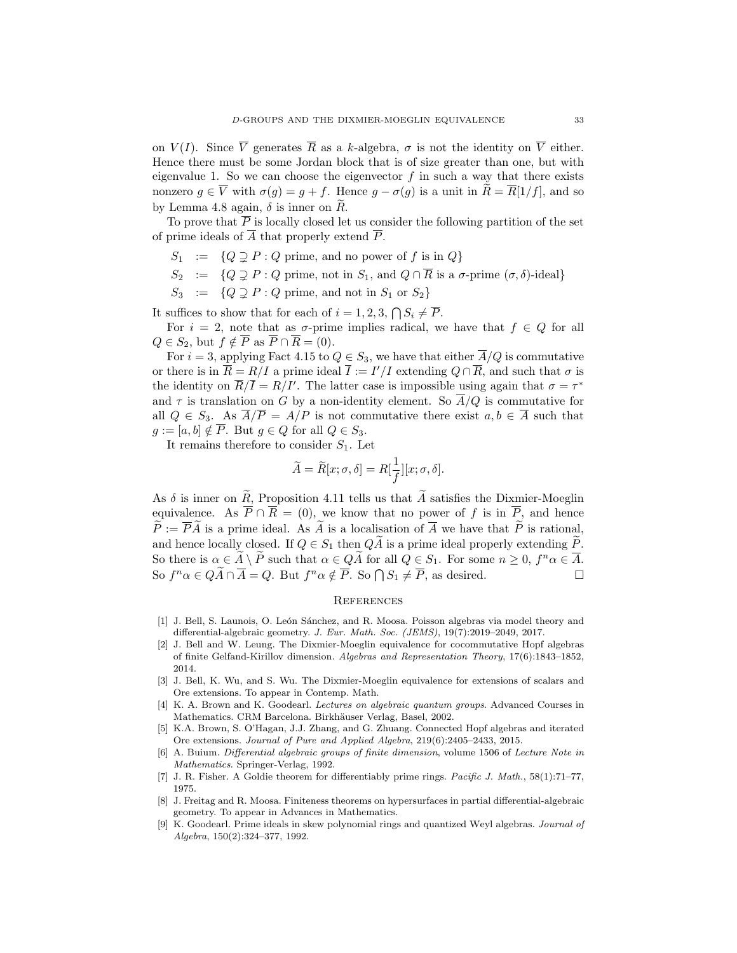on  $V(I)$ . Since  $\overline{V}$  generates  $\overline{R}$  as a k-algebra,  $\sigma$  is not the identity on  $\overline{V}$  either. Hence there must be some Jordan block that is of size greater than one, but with eigenvalue 1. So we can choose the eigenvector  $f$  in such a way that there exists nonzero  $g \in \overline{V}$  with  $\sigma(g) = g + f$ . Hence  $g - \sigma(g)$  is a unit in  $\widetilde{R} = \overline{R}[1/f]$ , and so by Lemma 4.8 again,  $\delta$  is inner on  $R$ .

To prove that  $\overline{P}$  is locally closed let us consider the following partition of the set of prime ideals of  $\overline{A}$  that properly extend  $\overline{P}$ .

- $S_1 := \{Q \supseteq P : Q \text{ prime, and no power of } f \text{ is in } Q\}$
- $S_2$  :=  $\{Q \supsetneq P : Q \text{ prime, not in } S_1 \text{, and } Q \cap \overline{R} \text{ is a } \sigma\text{-prime }(\sigma, \delta)\text{-ideal}\}\$
- $S_3$  :=  $\{Q \supsetneq P : Q \text{ prime, and not in } S_1 \text{ or } S_2\}$

It suffices to show that for each of  $i = 1, 2, 3, \bigcap S_i \neq \overline{P}$ .

For  $i = 2$ , note that as  $\sigma$ -prime implies radical, we have that  $f \in Q$  for all  $Q \in S_2$ , but  $f \notin \overline{P}$  as  $\overline{P} \cap \overline{R} = (0)$ .

For  $i = 3$ , applying Fact 4.15 to  $Q \in S_3$ , we have that either  $\overline{A}/Q$  is commutative or there is in  $\overline{R} = R/I$  a prime ideal  $\overline{I} := I'/I$  extending  $Q \cap \overline{R}$ , and such that  $\sigma$  is the identity on  $\overline{R}/\overline{I} = R/I'$ . The latter case is impossible using again that  $\sigma = \tau^*$ and  $\tau$  is translation on G by a non-identity element. So  $\overline{A}/Q$  is commutative for all  $Q \in S_3$ . As  $\overline{A}/\overline{P} = A/P$  is not commutative there exist  $a, b \in \overline{A}$  such that  $g := [a, b] \notin \overline{P}$ . But  $g \in Q$  for all  $Q \in S_3$ .

It remains therefore to consider  $S_1$ . Let

$$
\widetilde{A} = \widetilde{R}[x; \sigma, \delta] = R[\frac{1}{f}][x; \sigma, \delta].
$$

As  $\delta$  is inner on  $\widetilde{R}$ , Proposition 4.11 tells us that  $\widetilde{A}$  satisfies the Dixmier-Moeglin equivalence. As  $\overline{P} \cap \overline{R} = (0)$ , we know that no power of f is in  $\overline{P}$ , and hence  $\widetilde{P} := \overline{P}\widetilde{A}$  is a prime ideal. As  $\widetilde{A}$  is a localisation of  $\overline{A}$  we have that  $\widetilde{P}$  is rational, and hence locally closed. If  $Q \in S_1$  then  $Q\widetilde{A}$  is a prime ideal properly extending  $\widetilde{P}$ . So there is  $\alpha \in \tilde{A} \setminus \tilde{P}$  such that  $\alpha \in \tilde{QA}$  for all  $Q \in S_1$ . For some  $n \geq 0$ ,  $f^n \alpha \in \overline{A}$ . So  $f^n \alpha \in Q\widetilde{A} \cap \overline{A} = Q$ . But  $f^n \alpha \notin \overline{P}$ . So  $\bigcap S_1 \neq \overline{P}$ , as desired.

# **REFERENCES**

- [1] J. Bell, S. Launois, O. León Sánchez, and R. Moosa. Poisson algebras via model theory and differential-algebraic geometry. J. Eur. Math. Soc. (JEMS), 19(7):2019–2049, 2017.
- [2] J. Bell and W. Leung. The Dixmier-Moeglin equivalence for cocommutative Hopf algebras of finite Gelfand-Kirillov dimension. Algebras and Representation Theory, 17(6):1843–1852, 2014.
- [3] J. Bell, K. Wu, and S. Wu. The Dixmier-Moeglin equivalence for extensions of scalars and Ore extensions. To appear in Contemp. Math.
- [4] K. A. Brown and K. Goodearl. Lectures on algebraic quantum groups. Advanced Courses in Mathematics. CRM Barcelona. Birkhäuser Verlag, Basel, 2002.
- [5] K.A. Brown, S. O'Hagan, J.J. Zhang, and G. Zhuang. Connected Hopf algebras and iterated Ore extensions. Journal of Pure and Applied Algebra, 219(6):2405–2433, 2015.
- [6] A. Buium. Differential algebraic groups of finite dimension, volume 1506 of Lecture Note in Mathematics. Springer-Verlag, 1992.
- [7] J. R. Fisher. A Goldie theorem for differentiably prime rings. Pacific J. Math., 58(1):71–77, 1975.
- [8] J. Freitag and R. Moosa. Finiteness theorems on hypersurfaces in partial differential-algebraic geometry. To appear in Advances in Mathematics.
- [9] K. Goodearl. Prime ideals in skew polynomial rings and quantized Weyl algebras. Journal of Algebra, 150(2):324–377, 1992.